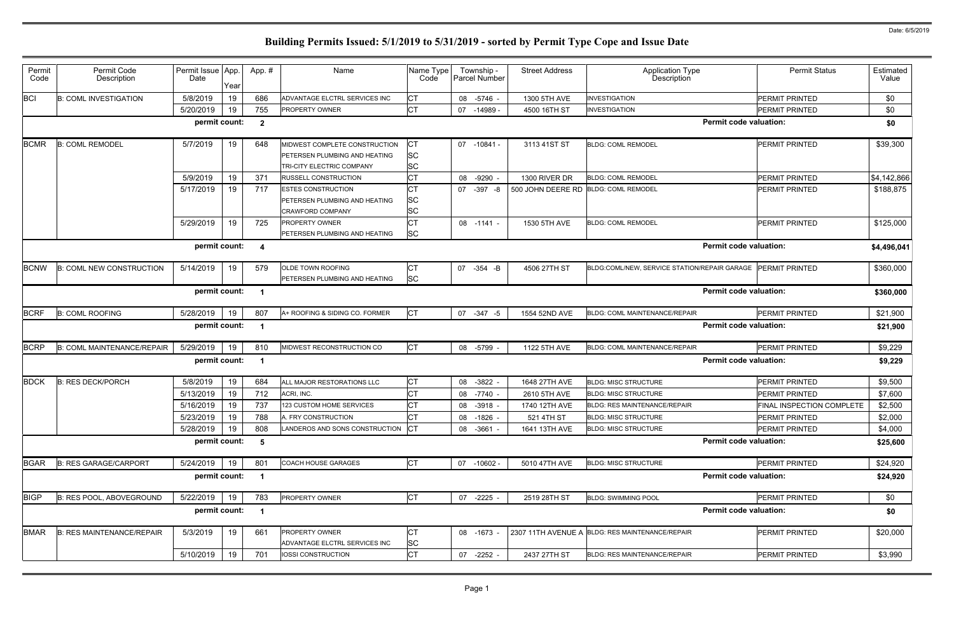| Permit<br>Code | Permit Code<br>Description        | Permit Issue App.<br>Date | Year | App.#          | Name                                                                                        | Name Type<br>Code            | Township -<br>Parcel Number   | <b>Street Address</b>                | <b>Application Type</b><br>Description          | <b>Permit Status</b>      | Estimated<br>Value |
|----------------|-----------------------------------|---------------------------|------|----------------|---------------------------------------------------------------------------------------------|------------------------------|-------------------------------|--------------------------------------|-------------------------------------------------|---------------------------|--------------------|
| <b>BCI</b>     | <b>B: COML INVESTIGATION</b>      | 5/8/2019                  | 19   | 686            | ADVANTAGE ELCTRL SERVICES INC                                                               | СT                           | 08 -5746 -                    | 1300 5TH AVE                         | <b>INVESTIGATION</b>                            | PERMIT PRINTED            | \$0                |
|                |                                   | 5/20/2019                 | 19   | 755            | PROPERTY OWNER                                                                              | <b>CT</b>                    | 07 -14989                     | 4500 16TH ST                         | <b>INVESTIGATION</b>                            | PERMIT PRINTED            | \$0                |
|                |                                   | permit count:             |      | $\mathbf{2}$   |                                                                                             |                              |                               |                                      | <b>Permit code valuation:</b>                   |                           | \$0                |
| <b>BCMR</b>    | <b>B: COML REMODEL</b>            | 5/7/2019                  | 19   | 648            | MIDWEST COMPLETE CONSTRUCTION<br>PETERSEN PLUMBING AND HEATING<br>TRI-CITY ELECTRIC COMPANY | <b>SC</b><br><b>SC</b>       | 07 -10841 -                   | 3113 41ST ST                         | <b>BLDG: COML REMODEL</b>                       | PERMIT PRINTED            | \$39,300           |
|                |                                   | 5/9/2019                  | 19   | 371            | <b>RUSSELL CONSTRUCTION</b>                                                                 | СT                           | 08<br>$-9290$                 | 1300 RIVER DR                        | <b>BLDG: COML REMODEL</b>                       | PERMIT PRINTED            | \$4,142,866        |
|                |                                   | 5/17/2019                 | 19   | 717            | <b>ESTES CONSTRUCTION</b><br>PETERSEN PLUMBING AND HEATING<br>CRAWFORD COMPANY              | СT<br><b>SC</b><br><b>SC</b> | 07 -397 -8                    | 500 JOHN DEERE RD BLDG: COML REMODEL |                                                 | PERMIT PRINTED            | \$188,875          |
|                |                                   | 5/29/2019                 | 19   | 725            | <b>PROPERTY OWNER</b><br>PETERSEN PLUMBING AND HEATING                                      | <b>CT</b><br><b>SC</b>       | 08 -1141 -                    | 1530 5TH AVE                         | <b>BLDG: COML REMODEL</b>                       | PERMIT PRINTED            | \$125,000          |
|                | permit count:<br>-4               |                           |      |                |                                                                                             |                              |                               |                                      | <b>Permit code valuation:</b>                   |                           | \$4,496,041        |
| <b>BCNW</b>    | <b>B: COML NEW CONSTRUCTION</b>   | 5/14/2019                 | 19   | 579            | OLDE TOWN ROOFING<br>PETERSEN PLUMBING AND HEATING                                          | CТ<br><b>SC</b>              | 07 -354 -B                    | 4506 27TH ST                         | BLDG:COML/NEW, SERVICE STATION/REPAIR GARAGE    | <b>PERMIT PRINTED</b>     | \$360,000          |
|                |                                   | permit count:<br>-1       |      |                |                                                                                             |                              | <b>Permit code valuation:</b> |                                      | \$360,000                                       |                           |                    |
| <b>BCRF</b>    | <b>B: COML ROOFING</b>            | 5/28/2019                 | 19   | 807            | A+ ROOFING & SIDING CO. FORMER                                                              | <b>CT</b>                    | 07 -347 -5                    | 1554 52ND AVE                        | BLDG: COML MAINTENANCE/REPAIR                   | PERMIT PRINTED            | \$21,900           |
|                |                                   | permit count:             |      |                |                                                                                             |                              |                               |                                      | <b>Permit code valuation:</b>                   |                           | \$21,900           |
| <b>BCRP</b>    | <b>B: COML MAINTENANCE/REPAIR</b> | 5/29/2019                 | 19   | 810            | MIDWEST RECONSTRUCTION CO                                                                   | <b>CT</b>                    | 08 -5799                      | 1122 5TH AVE                         | BLDG: COML MAINTENANCE/REPAIR                   | PERMIT PRINTED            | \$9,229            |
|                |                                   | permit count:             |      | -1             |                                                                                             |                              |                               |                                      | <b>Permit code valuation:</b>                   |                           | \$9,229            |
| <b>BDCK</b>    | <b>B: RES DECK/PORCH</b>          | 5/8/2019                  | 19   | 684            | ALL MAJOR RESTORATIONS LLC                                                                  | <b>CT</b>                    | 08 -3822                      | 1648 27TH AVE                        | <b>BLDG: MISC STRUCTURE</b>                     | PERMIT PRINTED            | \$9,500            |
|                |                                   | 5/13/2019                 | 19   | 712            | ACRI, INC.                                                                                  | <b>CT</b>                    | 08 -7740                      | 2610 5TH AVE                         | <b>BLDG: MISC STRUCTURE</b>                     | <b>PERMIT PRINTED</b>     | \$7,600            |
|                |                                   | 5/16/2019                 | 19   | 737            | 123 CUSTOM HOME SERVICES                                                                    | <b>CT</b>                    | 08 -3918 -                    | 1740 12TH AVE                        | <b>BLDG: RES MAINTENANCE/REPAIR</b>             | FINAL INSPECTION COMPLETE | \$2,500            |
|                |                                   | 5/23/2019                 | 19   | 788            | A. FRY CONSTRUCTION                                                                         | <b>CT</b>                    | 08 -1826 -                    | 521 4TH ST                           | <b>BLDG: MISC STRUCTURE</b>                     | PERMIT PRINTED            | \$2,000            |
|                |                                   | 5/28/2019                 | 19   | 808            | LANDEROS AND SONS CONSTRUCTION                                                              | $ _{\rm CT}$                 | 08 -3661 -                    | 1641 13TH AVE                        | <b>BLDG: MISC STRUCTURE</b>                     | PERMIT PRINTED            | \$4,000            |
|                |                                   | permit count:             |      | $5\phantom{1}$ |                                                                                             |                              |                               |                                      | <b>Permit code valuation:</b>                   |                           | \$25,600           |
| <b>BGAR</b>    | <b>B: RES GARAGE/CARPORT</b>      | 5/24/2019                 | 19   | 801            | <b>COACH HOUSE GARAGES</b>                                                                  | <b>CT</b>                    | 07 -10602 -                   | 5010 47TH AVE                        | <b>BLDG: MISC STRUCTURE</b>                     | PERMIT PRINTED            | \$24,920           |
|                |                                   | permit count:             |      | $\mathbf 1$    |                                                                                             |                              |                               |                                      | <b>Permit code valuation:</b>                   |                           | \$24,920           |
| <b>BIGP</b>    | B: RES POOL, ABOVEGROUND          | 5/22/2019                 | 19   | 783            | PROPERTY OWNER                                                                              | <b>CT</b>                    | 07 -2225 -                    | 2519 28TH ST                         | <b>BLDG: SWIMMING POOL</b>                      | PERMIT PRINTED            | \$0                |
|                |                                   | permit count:             |      | $\overline{1}$ |                                                                                             |                              |                               |                                      | <b>Permit code valuation:</b>                   |                           | \$0                |
| <b>BMAR</b>    | <b>B: RES MAINTENANCE/REPAIR</b>  | 5/3/2019                  | 19   | 661            | <b>PROPERTY OWNER</b><br>ADVANTAGE ELCTRL SERVICES INC                                      | СT<br><b>SC</b>              | 08 -1673                      |                                      | 2307 11TH AVENUE A BLDG: RES MAINTENANCE/REPAIR | PERMIT PRINTED            | \$20,000           |
|                |                                   | 5/10/2019                 | 19   | 701            | IOSSI CONSTRUCTION                                                                          | <b>CT</b>                    | 07 -2252 -                    | 2437 27TH ST                         | BLDG: RES MAINTENANCE/REPAIR                    | PERMIT PRINTED            | \$3,990            |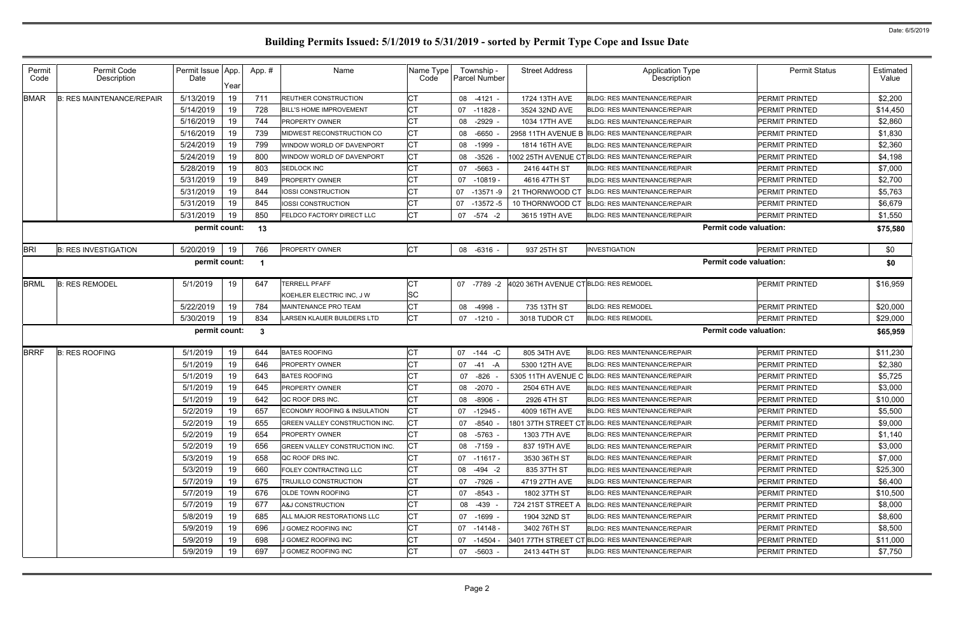| Permit<br>Code | Permit Code<br>Description       | Permit Issue App.<br>Date | Year | App.# | Name                           | Name Type<br>Code | Township -<br><b>Parcel Number</b> | <b>Street Address</b>                 | <b>Application Type</b><br>Description           | <b>Permit Status</b>  | Estimated<br>Value |
|----------------|----------------------------------|---------------------------|------|-------|--------------------------------|-------------------|------------------------------------|---------------------------------------|--------------------------------------------------|-----------------------|--------------------|
| <b>BMAR</b>    | <b>B: RES MAINTENANCE/REPAIR</b> | 5/13/2019                 | 19   | 711   | <b>REUTHER CONSTRUCTION</b>    | <b>CT</b>         | 08 -4121                           | 1724 13TH AVE                         | <b>BLDG: RES MAINTENANCE/REPAIR</b>              | <b>PERMIT PRINTED</b> | \$2,200            |
|                |                                  | 5/14/2019                 | 19   | 728   | <b>BILL'S HOME IMPROVEMENT</b> | <b>CT</b>         | 07 -11828 -                        | 3524 32ND AVE                         | <b>BLDG: RES MAINTENANCE/REPAIR</b>              | <b>PERMIT PRINTED</b> | \$14,450           |
|                |                                  | 5/16/2019                 | 19   | 744   | PROPERTY OWNER                 |                   | 08 -2929                           | 1034 17TH AVE                         | <b>BLDG: RES MAINTENANCE/REPAIR</b>              | <b>PERMIT PRINTED</b> | \$2,860            |
|                |                                  | 5/16/2019                 | 19   | 739   | MIDWEST RECONSTRUCTION CO      | <b>CT</b>         | $-6650$<br>08                      |                                       | 2958 11TH AVENUE B BLDG: RES MAINTENANCE/REPAIR  | <b>PERMIT PRINTED</b> | \$1,830            |
|                |                                  | 5/24/2019                 | 19   | 799   | WINDOW WORLD OF DAVENPORT      | <b>CT</b>         | 08 -1999                           | 1814 16TH AVE                         | <b>BLDG: RES MAINTENANCE/REPAIR</b>              | <b>PERMIT PRINTED</b> | \$2,360            |
|                |                                  | 5/24/2019                 | 19   | 800   | WINDOW WORLD OF DAVENPORT      | <b>CT</b>         | 08 -3526                           |                                       | 1002 25TH AVENUE CTBLDG: RES MAINTENANCE/REPAIR  | <b>PERMIT PRINTED</b> | \$4,198            |
|                |                                  | 5/28/2019                 | 19   | 803   | SEDLOCK INC                    | <b>CT</b>         | 07 -5663                           | 2416 44TH ST                          | <b>BLDG: RES MAINTENANCE/REPAIR</b>              | <b>PERMIT PRINTED</b> | \$7,000            |
|                |                                  | 5/31/2019                 | 19   | 849   | PROPERTY OWNER                 | <b>CT</b>         | 07<br>-10819 -                     | 4616 47TH ST                          | <b>BLDG: RES MAINTENANCE/REPAIR</b>              | <b>PERMIT PRINTED</b> | \$2,700            |
|                |                                  | 5/31/2019                 | 19   | 844   | IOSSI CONSTRUCTION             | <b>CT</b>         | 07 -13571 -9                       | 21 THORNWOOD CT                       | <b>BLDG: RES MAINTENANCE/REPAIR</b>              | <b>PERMIT PRINTED</b> | \$5,763            |
|                |                                  | 5/31/2019                 | 19   | 845   | <b>IOSSI CONSTRUCTION</b>      | <b>CT</b>         | 07<br>-13572 -5                    | 10 THORNWOOD CT                       | <b>BLDG: RES MAINTENANCE/REPAIR</b>              | <b>PERMIT PRINTED</b> | \$6,679            |
|                |                                  | 5/31/2019                 | 19   | 850   | FELDCO FACTORY DIRECT LLC      | СT                | 07 - 574 - 2                       | 3615 19TH AVE                         | <b>BLDG: RES MAINTENANCE/REPAIR</b>              | <b>PERMIT PRINTED</b> | \$1,550            |
| permit count:  |                                  |                           |      | 13    |                                |                   |                                    |                                       | <b>Permit code valuation:</b>                    |                       | \$75,580           |
| <b>BRI</b>     | <b>B: RES INVESTIGATION</b>      | 5/20/2019                 | 19   | 766   | PROPERTY OWNER                 | <b>CT</b>         | 08 -6316 -                         | 937 25TH ST                           | <b>INVESTIGATION</b>                             | <b>PERMIT PRINTED</b> | \$0                |
|                |                                  | permit count:             |      |       |                                |                   |                                    |                                       | <b>Permit code valuation:</b>                    |                       | \$0                |
| <b>BRML</b>    | <b>B: RES REMODEL</b>            | 5/1/2019                  | 19   | 647   | <b>TERRELL PFAFF</b>           |                   | 07 -7789 -2                        | 4020 36TH AVENUE CT BLDG: RES REMODEL |                                                  | <b>PERMIT PRINTED</b> | \$16,959           |
|                |                                  |                           |      |       | KOEHLER ELECTRIC INC, J W      | SC                |                                    |                                       |                                                  |                       |                    |
|                |                                  | 5/22/2019                 | 19   | 784   | <b>MAINTENANCE PRO TEAM</b>    | СT                | 08 -4998                           | 735 13TH ST                           | <b>BLDG: RES REMODEL</b>                         | <b>PERMIT PRINTED</b> | \$20,000           |
|                |                                  | 5/30/2019                 | 19   | 834   | LARSEN KLAUER BUILDERS LTD     | <b>CT</b>         | $07 - 1210$                        | 3018 TUDOR CT                         | <b>BLDG: RES REMODEL</b>                         | <b>PERMIT PRINTED</b> | \$29,000           |
|                |                                  | permit count:             |      | -3    |                                |                   |                                    |                                       | <b>Permit code valuation:</b>                    |                       | \$65,959           |
| <b>BRRF</b>    | <b>B: RES ROOFING</b>            | 5/1/2019                  | 19   | 644   | <b>BATES ROOFING</b>           | <b>CT</b>         | 07 -144 -C                         | 805 34TH AVE                          | <b>BLDG: RES MAINTENANCE/REPAIR</b>              | <b>PERMIT PRINTED</b> | \$11,230           |
|                |                                  | 5/1/2019                  | 19   | 646   | <b>PROPERTY OWNER</b>          | <b>CT</b>         | $07 -41 -A$                        | 5300 12TH AVE                         | <b>BLDG: RES MAINTENANCE/REPAIR</b>              | <b>PERMIT PRINTED</b> | \$2,380            |
|                |                                  | 5/1/2019                  | 19   | 643   | <b>BATES ROOFING</b>           | <b>CT</b>         | -826<br>07                         |                                       | 5305 11TH AVENUE C BLDG: RES MAINTENANCE/REPAIR  | <b>PERMIT PRINTED</b> | \$5,725            |
|                |                                  | 5/1/2019                  | 19   | 645   | PROPERTY OWNER                 |                   | 08 -2070                           | 2504 6TH AVE                          | <b>BLDG: RES MAINTENANCE/REPAIR</b>              | <b>PERMIT PRINTED</b> | \$3,000            |
|                |                                  | 5/1/2019                  | 19   | 642   | QC ROOF DRS INC                |                   | 08 -8906                           | 2926 4TH ST                           | <b>BLDG: RES MAINTENANCE/REPAIR</b>              | <b>PERMIT PRINTED</b> | \$10,000           |
|                |                                  | 5/2/2019                  | 19   | 657   | ECONOMY ROOFING & INSULATION   | СI                | 07 -12945 -                        | 4009 16TH AVE                         | <b>BLDG: RES MAINTENANCE/REPAIR</b>              | IPERMIT PRINTED       | \$5,500            |
|                |                                  | 5/2/2019                  | 19   | 655   | GREEN VALLEY CONSTRUCTION INC. | СT                | 07 -8540                           |                                       | 1801 37TH STREET CT BLDG: RES MAINTENANCE/REPAIR | <b>PERMIT PRINTED</b> | \$9,000            |
|                |                                  | 5/2/2019                  | 19   | 654   | <b>PROPERTY OWNER</b>          | СT                | 08 -5763 -                         | 1303 7TH AVE                          | <b>BLDG: RES MAINTENANCE/REPAIR</b>              | <b>PERMIT PRINTED</b> | \$1,140            |
|                |                                  | 5/2/2019                  | 19   | 656   | GREEN VALLEY CONSTRUCTION INC. | <b>CT</b>         | 08 -7159 -                         | 837 19TH AVE                          | <b>BLDG: RES MAINTENANCE/REPAIR</b>              | <b>PERMIT PRINTED</b> | \$3,000            |
|                |                                  | 5/3/2019                  | 19   | 658   | QC ROOF DRS INC.               | СT                | $07 - 11617 -$                     | 3530 36TH ST                          | <b>BLDG: RES MAINTENANCE/REPAIR</b>              | <b>PERMIT PRINTED</b> | \$7,000            |
|                |                                  | 5/3/2019                  | 19   | 660   | FOLEY CONTRACTING LLC          | <b>CT</b>         | 08 -494 -2                         | 835 37TH ST                           | <b>BLDG: RES MAINTENANCE/REPAIR</b>              | <b>PERMIT PRINTED</b> | \$25,300           |
|                |                                  | 5/7/2019                  | 19   | 675   | TRUJILLO CONSTRUCTION          | <b>CT</b>         | 07 -7926 -                         | 4719 27TH AVE                         | <b>BLDG: RES MAINTENANCE/REPAIR</b>              | <b>PERMIT PRINTED</b> | \$6,400            |
|                |                                  | 5/7/2019                  | 19   | 676   | DLDE TOWN ROOFING              | <b>CT</b>         | 07 -8543 -                         | 1802 37TH ST                          | <b>BLDG: RES MAINTENANCE/REPAIR</b>              | <b>PERMIT PRINTED</b> | \$10,500           |
|                |                                  | 5/7/2019                  | 19   | 677   | A&J CONSTRUCTION               | СT                | 08 -439 -                          | 724 21ST STREET A                     | <b>BLDG: RES MAINTENANCE/REPAIR</b>              | <b>PERMIT PRINTED</b> | \$8,000            |
|                |                                  | 5/8/2019                  | 19   | 685   | ALL MAJOR RESTORATIONS LLC     | <b>CT</b>         | 07 -1699 -                         | 1904 32ND ST                          | <b>BLDG: RES MAINTENANCE/REPAIR</b>              | <b>PERMIT PRINTED</b> | \$8,600            |
|                |                                  | 5/9/2019                  | 19   | 696   | J GOMEZ ROOFING INC            | <b>CT</b>         | 07 -14148 -                        | 3402 76TH ST                          | <b>BLDG: RES MAINTENANCE/REPAIR</b>              | <b>PERMIT PRINTED</b> | \$8,500            |
|                |                                  | 5/9/2019                  | -19  | 698   | J GOMEZ ROOFING INC            | <b>CT</b>         | 07 -14504 -                        |                                       | 3401 77TH STREET CT BLDG: RES MAINTENANCE/REPAIR | <b>PERMIT PRINTED</b> | \$11,000           |
|                |                                  | 5/9/2019                  | 19   | 697   | J GOMEZ ROOFING INC            | СT                | 07 -5603 -                         | 2413 44TH ST                          | <b>BLDG: RES MAINTENANCE/REPAIR</b>              | <b>PERMIT PRINTED</b> | \$7,750            |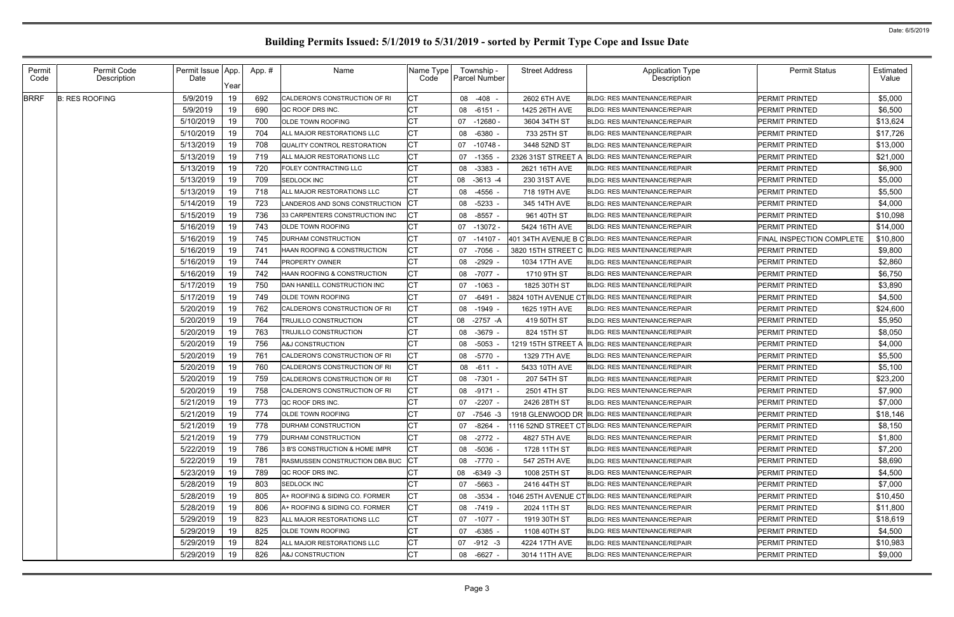| Permit<br>Code | Permit Code<br>Description | Permit Issue   App.<br>Date | Year | App.# | Name                                  | Name Type<br>Code | Township -<br>Parcel Number | <b>Street Address</b> | <b>Application Type</b><br>Description           | <b>Permit Status</b>      | Estimated<br>Value |
|----------------|----------------------------|-----------------------------|------|-------|---------------------------------------|-------------------|-----------------------------|-----------------------|--------------------------------------------------|---------------------------|--------------------|
| <b>BRRF</b>    | <b>B: RES ROOFING</b>      | 5/9/2019                    | 19   | 692   | CALDERON'S CONSTRUCTION OF RI         | <b>CT</b>         | 08 -408 -                   | 2602 6TH AVE          | <b>BLDG: RES MAINTENANCE/REPAIR</b>              | <b>PERMIT PRINTED</b>     | \$5,000            |
|                |                            | 5/9/2019                    | 19   | 690   | QC ROOF DRS INC.                      | <b>CT</b>         | 08 -6151 -                  | 1425 26TH AVE         | <b>BLDG: RES MAINTENANCE/REPAIR</b>              | <b>PERMIT PRINTED</b>     | \$6,500            |
|                |                            | 5/10/2019                   | 19   | 700   | OLDE TOWN ROOFING                     | СT                | $07 - 12680$                | 3604 34TH ST          | <b>BLDG: RES MAINTENANCE/REPAIR</b>              | <b>PERMIT PRINTED</b>     | \$13,624           |
|                |                            | 5/10/2019                   | 19   | 704   | ALL MAJOR RESTORATIONS LLC            | <b>CT</b>         | 08 -6380                    | 733 25TH ST           | <b>BLDG: RES MAINTENANCE/REPAIR</b>              | <b>PERMIT PRINTED</b>     | \$17,726           |
|                |                            | 5/13/2019                   | 19   | 708   | QUALITY CONTROL RESTORATION           | <b>CT</b>         | 07 -10748 -                 | 3448 52ND ST          | <b>BLDG: RES MAINTENANCE/REPAIR</b>              | <b>PERMIT PRINTED</b>     | \$13,000           |
|                |                            | 5/13/2019                   | 19   | 719   | ALL MAJOR RESTORATIONS LLC            | <b>CT</b>         | 07<br>-1355                 | 2326 31ST STREET A    | <b>BLDG: RES MAINTENANCE/REPAIR</b>              | <b>PERMIT PRINTED</b>     | \$21,000           |
|                |                            | 5/13/2019                   | 19   | 720   | FOLEY CONTRACTING LLC                 | СT                | 08 -3383                    | 2621 16TH AVE         | <b>BLDG: RES MAINTENANCE/REPAIR</b>              | <b>PERMIT PRINTED</b>     | \$6,900            |
|                |                            | 5/13/2019                   | 19   | 709   | SEDLOCK INC                           | IСТ               | 08 -3613 -4                 | 230 31ST AVE          | <b>BLDG: RES MAINTENANCE/REPAIR</b>              | <b>PERMIT PRINTED</b>     | \$5,000            |
|                |                            | 5/13/2019                   | 19   | 718   | ALL MAJOR RESTORATIONS LLC            | CТ                | 08 -4556                    | 718 19TH AVE          | <b>BLDG: RES MAINTENANCE/REPAIR</b>              | <b>PERMIT PRINTED</b>     | \$5,500            |
|                |                            | 5/14/2019                   | 19   | 723   | LANDEROS AND SONS CONSTRUCTION        | <b>ICT</b>        | 08 -5233 -                  | 345 14TH AVE          | <b>BLDG: RES MAINTENANCE/REPAIR</b>              | <b>PERMIT PRINTED</b>     | \$4,000            |
|                |                            | 5/15/2019                   | 19   | 736   | 33 CARPENTERS CONSTRUCTION INC        |                   | 08 -8557 -                  | 961 40TH ST           | <b>BLDG: RES MAINTENANCE/REPAIR</b>              | <b>PERMIT PRINTED</b>     | \$10,098           |
|                |                            | 5/16/2019                   | 19   | 743   | OLDE TOWN ROOFING                     | СT                | 07 -13072 -                 | 5424 16TH AVE         | <b>BLDG: RES MAINTENANCE/REPAIR</b>              | <b>PERMIT PRINTED</b>     | \$14,000           |
|                |                            | 5/16/2019                   | 19   | 745   | DURHAM CONSTRUCTION                   | <b>CT</b>         | 07 -14107 -                 |                       | 401 34TH AVENUE B C BLDG: RES MAINTENANCE/REPAIR | FINAL INSPECTION COMPLETE | \$10,800           |
|                |                            | 5/16/2019                   | 19   | 741   | HAAN ROOFING & CONSTRUCTION           | СT                | 07 -7056                    |                       | 3820 15TH STREET C BLDG: RES MAINTENANCE/REPAIR  | <b>PERMIT PRINTED</b>     | \$9,800            |
|                |                            | 5/16/2019                   | 19   | 744   | <b>PROPERTY OWNER</b>                 | СT                | 08 -2929                    | 1034 17TH AVE         | <b>BLDG: RES MAINTENANCE/REPAIR</b>              | <b>PERMIT PRINTED</b>     | \$2,860            |
|                |                            | 5/16/2019                   | 19   | 742   | HAAN ROOFING & CONSTRUCTION           | <b>CT</b>         | 08 -7077 -                  | 1710 9TH ST           | <b>BLDG: RES MAINTENANCE/REPAIR</b>              | <b>PERMIT PRINTED</b>     | \$6,750            |
|                |                            | 5/17/2019                   | 19   | 750   | DAN HANELL CONSTRUCTION INC           | <b>CT</b>         | 07 -1063 -                  | 1825 30TH ST          | <b>BLDG: RES MAINTENANCE/REPAIR</b>              | <b>PERMIT PRINTED</b>     | \$3,890            |
|                |                            | 5/17/2019                   | 19   | 749   | OLDE TOWN ROOFING                     | СT                | 07 -6491                    |                       | 3824 10TH AVENUE CTBLDG: RES MAINTENANCE/REPAIR  | <b>PERMIT PRINTED</b>     | \$4,500            |
|                |                            | 5/20/2019                   | 19   | 762   | CALDERON'S CONSTRUCTION OF RI         | CТ                | 08 -1949                    | 1625 19TH AVE         | <b>BLDG: RES MAINTENANCE/REPAIR</b>              | <b>PERMIT PRINTED</b>     | \$24,600           |
|                |                            | 5/20/2019                   | 19   | 764   | FRUJILLO CONSTRUCTION                 | СT                | 08<br>-2757 -A              | 419 50TH ST           | <b>BLDG: RES MAINTENANCE/REPAIR</b>              | <b>PERMIT PRINTED</b>     | \$5,950            |
|                |                            | 5/20/2019                   | 19   | 763   | FRUJILLO CONSTRUCTION                 | СT                | 08 -3679                    | 824 15TH ST           | <b>BLDG: RES MAINTENANCE/REPAIR</b>              | <b>PERMIT PRINTED</b>     | \$8,050            |
|                |                            | 5/20/2019                   | 19   | 756   | A&J CONSTRUCTION                      |                   | 08 -5053                    | 1219 15TH STREET A    | <b>BLDG: RES MAINTENANCE/REPAIR</b>              | <b>PERMIT PRINTED</b>     | \$4,000            |
|                |                            | 5/20/2019                   | 19   | 761   | CALDERON'S CONSTRUCTION OF RI         | <b>CT</b>         | 08 -5770 -                  | 1329 7TH AVE          | <b>BLDG: RES MAINTENANCE/REPAIR</b>              | <b>PERMIT PRINTED</b>     | \$5,500            |
|                |                            | 5/20/2019                   | 19   | 760   | CALDERON'S CONSTRUCTION OF RI         | СT                | 08 -611                     | 5433 10TH AVE         | <b>BLDG: RES MAINTENANCE/REPAIR</b>              | <b>PERMIT PRINTED</b>     | \$5,100            |
|                |                            | 5/20/2019                   | 19   | 759   | CALDERON'S CONSTRUCTION OF RI         | IСТ               | 08 -7301 -                  | 207 54TH ST           | <b>BLDG: RES MAINTENANCE/REPAIR</b>              | <b>PERMIT PRINTED</b>     | \$23,200           |
|                |                            | 5/20/2019                   | 19   | 758   | CALDERON'S CONSTRUCTION OF RI         | IСT               | 08 -9171 -                  | 2501 4TH ST           | <b>BLDG: RES MAINTENANCE/REPAIR</b>              | PERMIT PRINTED            | \$7,900            |
|                |                            | 5/21/2019                   | 19   | 773   | QC ROOF DRS INC.                      | СT                | 07 -2207 -                  | 2426 28TH ST          | <b>BLDG: RES MAINTENANCE/REPAIR</b>              | <b>PERMIT PRINTED</b>     | \$7,000            |
|                |                            | 5/21/2019                   | 19   | 774   | OLDE TOWN ROOFING                     | <b>CT</b>         | 07 -7546 -3                 |                       | 1918 GLENWOOD DR BLDG: RES MAINTENANCE/REPAIR    | <b>PERMIT PRINTED</b>     | \$18,146           |
|                |                            | 5/21/2019                   | 19   | 778   | <b>DURHAM CONSTRUCTION</b>            | <b>CT</b>         | 07 -8264 -                  |                       | 1116 52ND STREET CTBLDG: RES MAINTENANCE/REPAIR  | PERMIT PRINTED            | \$8,150            |
|                |                            | 5/21/2019                   | 19   | 779   | <b>DURHAM CONSTRUCTION</b>            | <b>CT</b>         | 08 -2772 -                  | 4827 5TH AVE          | <b>BLDG: RES MAINTENANCE/REPAIR</b>              | <b>PERMIT PRINTED</b>     | \$1,800            |
|                |                            | 5/22/2019                   | 19   | 786   | 3 B'S CONSTRUCTION & HOME IMPR        | IСT               | 08 -5036 -                  | 1728 11TH ST          | <b>BLDG: RES MAINTENANCE/REPAIR</b>              | <b>PERMIT PRINTED</b>     | \$7,200            |
|                |                            | 5/22/2019                   | 19   | 781   | <b>RASMUSSEN CONSTRUCTION DBA BUC</b> | <b>ICT</b>        | 08 -7770 -                  | 547 25TH AVE          | <b>BLDG: RES MAINTENANCE/REPAIR</b>              | <b>PERMIT PRINTED</b>     | \$8,690            |
|                |                            | 5/23/2019                   | 19   | 789   | QC ROOF DRS INC.                      | <b>CT</b>         | 08 -6349 -3                 | 1008 25TH ST          | <b>BLDG: RES MAINTENANCE/REPAIR</b>              | <b>PERMIT PRINTED</b>     | \$4,500            |
|                |                            | 5/28/2019                   | 19   | 803   | SEDLOCK INC                           | СT                | 07 -5663 -                  | 2416 44TH ST          | <b>BLDG: RES MAINTENANCE/REPAIR</b>              | <b>PERMIT PRINTED</b>     | \$7,000            |
|                |                            | 5/28/2019                   | 19   | 805   | A+ ROOFING & SIDING CO. FORMER        | СT                | $08 - 3534$                 |                       | 1046 25TH AVENUE CTBLDG: RES MAINTENANCE/REPAIR  | <b>PERMIT PRINTED</b>     | \$10,450           |
|                |                            | 5/28/2019                   | 19   | 806   | A+ ROOFING & SIDING CO. FORMER        | <b>CT</b>         | 08 -7419 -                  | 2024 11TH ST          | <b>BLDG: RES MAINTENANCE/REPAIR</b>              | <b>PERMIT PRINTED</b>     | \$11,800           |
|                |                            | 5/29/2019                   | 19   | 823   | ALL MAJOR RESTORATIONS LLC            | СT                | 07 -1077 -                  | 1919 30TH ST          | <b>BLDG: RES MAINTENANCE/REPAIR</b>              | <b>PERMIT PRINTED</b>     | \$18,619           |
|                |                            | 5/29/2019                   | 19   | 825   | OLDE TOWN ROOFING                     | <b>CT</b>         | 07 -6385 -                  | 1108 40TH ST          | <b>BLDG: RES MAINTENANCE/REPAIR</b>              | PERMIT PRINTED            | \$4,500            |
|                |                            | 5/29/2019                   | 19   | 824   | ALL MAJOR RESTORATIONS LLC            | <b>CT</b>         | 07 -912 -3                  | 4224 17TH AVE         | <b>BLDG: RES MAINTENANCE/REPAIR</b>              | <b>PERMIT PRINTED</b>     | \$10,983           |
|                |                            | 5/29/2019                   | 19   | 826   | A&J CONSTRUCTION                      | <b>CT</b>         | 08 -6627 -                  | 3014 11TH AVE         | <b>BLDG: RES MAINTENANCE/REPAIR</b>              | <b>PERMIT PRINTED</b>     | \$9,000            |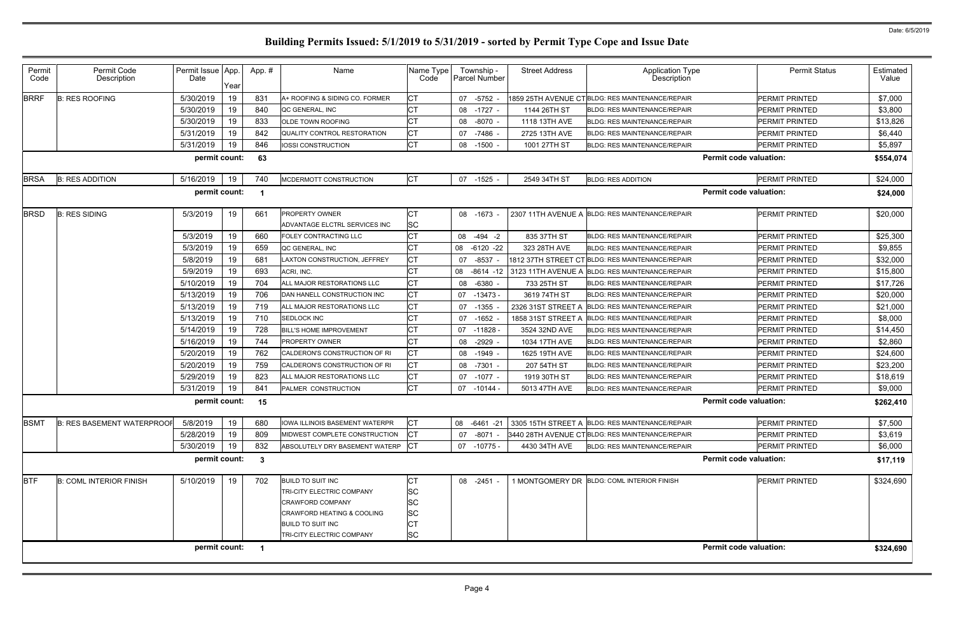| Permit<br>Code | Permit Code<br>Description                                                 | Permit Issue App.<br>Date | Year | App.# | Name                                  | Name Type<br>Code | Township -<br><b>Parcel Number</b> | <b>Street Address</b> | <b>Application Type</b><br>Description           | <b>Permit Status</b>          | Estimated<br>Value |  |
|----------------|----------------------------------------------------------------------------|---------------------------|------|-------|---------------------------------------|-------------------|------------------------------------|-----------------------|--------------------------------------------------|-------------------------------|--------------------|--|
| <b>BRRF</b>    | <b>B: RES ROOFING</b>                                                      | 5/30/2019                 | 19   | 831   | A+ ROOFING & SIDING CO. FORMER        | <b>CT</b>         | 07 -5752                           |                       | 1859 25TH AVENUE CTBLDG: RES MAINTENANCE/REPAIR  | <b>PERMIT PRINTED</b>         | \$7,000            |  |
|                |                                                                            | 5/30/2019                 | 19   | 840   | QC GENERAL, INC                       | <b>CT</b>         | 08 -1727 -                         | 1144 26TH ST          | <b>BLDG: RES MAINTENANCE/REPAIR</b>              | <b>PERMIT PRINTED</b>         | \$3,800            |  |
|                |                                                                            | 5/30/2019                 | 19   | 833   | OLDE TOWN ROOFING                     | <b>CT</b>         | 08 -8070                           | 1118 13TH AVE         | <b>BLDG: RES MAINTENANCE/REPAIR</b>              | <b>PERMIT PRINTED</b>         | \$13,826           |  |
|                |                                                                            | 5/31/2019                 | 19   | 842   | <b>QUALITY CONTROL RESTORATION</b>    | <b>CT</b>         | 07 -7486                           | 2725 13TH AVE         | <b>BLDG: RES MAINTENANCE/REPAIR</b>              | <b>PERMIT PRINTED</b>         | \$6,440            |  |
|                |                                                                            | 5/31/2019                 | 19   | 846   | IOSSI CONSTRUCTION                    | <b>CT</b>         | 08 -1500 -                         | 1001 27TH ST          | <b>BLDG: RES MAINTENANCE/REPAIR</b>              | PERMIT PRINTED                | \$5,897            |  |
|                | permit count:<br><b>Permit code valuation:</b><br>63                       |                           |      |       |                                       |                   |                                    |                       |                                                  |                               |                    |  |
| <b>BRSA</b>    | <b>B: RES ADDITION</b>                                                     | 5/16/2019                 | 19   | 740   | MCDERMOTT CONSTRUCTION                | <b>CT</b>         | 07 -1525 -                         | 2549 34TH ST          | <b>BLDG: RES ADDITION</b>                        | PERMIT PRINTED                | \$24,000           |  |
|                |                                                                            | permit count:             |      |       |                                       |                   |                                    |                       |                                                  | <b>Permit code valuation:</b> | \$24,000           |  |
| <b>BRSD</b>    | <b>B: RES SIDING</b>                                                       | 5/3/2019                  | 19   | 661   | PROPERTY OWNER                        | <b>CT</b>         | 08 -1673 -                         |                       | 2307 11TH AVENUE A BLDG: RES MAINTENANCE/REPAIR  | <b>PERMIT PRINTED</b>         | \$20,000           |  |
|                |                                                                            |                           |      |       | ADVANTAGE ELCTRL SERVICES INC         | SC                |                                    |                       |                                                  |                               |                    |  |
|                |                                                                            | 5/3/2019                  | 19   | 660   | FOLEY CONTRACTING LLC                 | <b>CT</b>         | 08 -494 -2                         | 835 37TH ST           | <b>BLDG: RES MAINTENANCE/REPAIR</b>              | <b>PERMIT PRINTED</b>         | \$25,300           |  |
|                |                                                                            | 5/3/2019                  | 19   | 659   | QC GENERAL, INC                       | <b>CT</b>         | 08 -6120 -22                       | 323 28TH AVE          | <b>BLDG: RES MAINTENANCE/REPAIR</b>              | <b>PERMIT PRINTED</b>         | \$9,855            |  |
|                |                                                                            | 5/8/2019                  | 19   | 681   | AXTON CONSTRUCTION, JEFFREY           | <b>CT</b>         | 07 -8537 -                         |                       | 1812 37TH STREET CT BLDG: RES MAINTENANCE/REPAIR | <b>PERMIT PRINTED</b>         | \$32,000           |  |
|                |                                                                            | 5/9/2019                  | 19   | 693   | ACRI, INC.                            | <b>CT</b>         | 08 -8614 -12                       |                       | 3123 11TH AVENUE A BLDG: RES MAINTENANCE/REPAIR  | <b>PERMIT PRINTED</b>         | \$15,800           |  |
|                |                                                                            | 5/10/2019                 | 19   | 704   | ALL MAJOR RESTORATIONS LLC            | <b>CT</b>         | 08 -6380 -                         | 733 25TH ST           | <b>BLDG: RES MAINTENANCE/REPAIR</b>              | <b>PERMIT PRINTED</b>         | \$17,726           |  |
|                |                                                                            | 5/13/2019                 | 19   | 706   | DAN HANELL CONSTRUCTION INC           | <b>CT</b>         | 07 -13473 -                        | 3619 74TH ST          | <b>BLDG: RES MAINTENANCE/REPAIR</b>              | <b>PERMIT PRINTED</b>         | \$20,000           |  |
|                |                                                                            | 5/13/2019                 | 19   | 719   | ALL MAJOR RESTORATIONS LLC            | <b>CT</b>         | 07 -1355                           | 2326 31ST STREET A    | <b>BLDG: RES MAINTENANCE/REPAIR</b>              | <b>PERMIT PRINTED</b>         | \$21,000           |  |
|                |                                                                            | 5/13/2019                 | 19   | 710   | SEDLOCK INC                           | <b>CT</b>         | 07 -1652                           | 1858 31ST STREET A    | <b>BLDG: RES MAINTENANCE/REPAIR</b>              | <b>PERMIT PRINTED</b>         | \$8,000            |  |
|                |                                                                            | 5/14/2019                 | 19   | 728   | <b>BILL'S HOME IMPROVEMENT</b>        | <b>CT</b>         | 07 -11828                          | 3524 32ND AVE         | <b>BLDG: RES MAINTENANCE/REPAIR</b>              | <b>PERMIT PRINTED</b>         | \$14,450           |  |
|                |                                                                            | 5/16/2019                 | 19   | 744   | PROPERTY OWNER                        | <b>CT</b>         | 08 -2929                           | 1034 17TH AVE         | <b>BLDG: RES MAINTENANCE/REPAIR</b>              | PERMIT PRINTED                | \$2,860            |  |
|                |                                                                            | 5/20/2019                 | 19   | 762   | CALDERON'S CONSTRUCTION OF RI         | <b>CT</b>         | 08 -1949 -                         | 1625 19TH AVE         | <b>BLDG: RES MAINTENANCE/REPAIR</b>              | <b>PERMIT PRINTED</b>         | \$24,600           |  |
|                |                                                                            | 5/20/2019                 | 19   | 759   | CALDERON'S CONSTRUCTION OF RI         | <b>CT</b>         | 08 -7301 -                         | 207 54TH ST           | <b>BLDG: RES MAINTENANCE/REPAIR</b>              | <b>PERMIT PRINTED</b>         | \$23,200           |  |
|                |                                                                            | 5/29/2019                 | 19   | 823   | ALL MAJOR RESTORATIONS LLC            | <b>CT</b>         | 07 -1077 -                         | 1919 30TH ST          | <b>BLDG: RES MAINTENANCE/REPAIR</b>              | <b>PERMIT PRINTED</b>         | \$18,619           |  |
|                |                                                                            | 5/31/2019                 | 19   | 841   | PALMER CONSTRUCTION                   | <b>CT</b>         | 07 -10144 -                        | 5013 47TH AVE         | <b>BLDG: RES MAINTENANCE/REPAIR</b>              | PERMIT PRINTED                | \$9,000            |  |
|                |                                                                            | permit count:             |      | 15    |                                       |                   |                                    |                       |                                                  | <b>Permit code valuation:</b> | \$262,410          |  |
| <b>BSMT</b>    | <b>B: RES BASEMENT WATERPROOF</b>                                          | 5/8/2019                  | 19   | 680   | <b>IOWA ILLINOIS BASEMENT WATERPR</b> | СT                | 08 -6461 -21                       |                       | 3305 15TH STREET A BLDG: RES MAINTENANCE/REPAIR  | <b>PERMIT PRINTED</b>         | \$7,500            |  |
|                |                                                                            | 5/28/2019                 | 19   | 809   | MIDWEST COMPLETE CONSTRUCTION         | СT                | 07 -8071 -                         |                       | 3440 28TH AVENUE CT BLDG: RES MAINTENANCE/REPAIR | PERMIT PRINTED                | \$3,619            |  |
|                |                                                                            | 5/30/2019                 | 19   | 832   | ABSOLUTELY DRY BASEMENT WATERP        | <b>ICT</b>        | 07 -10775 -                        | 4430 34TH AVE         | <b>BLDG: RES MAINTENANCE/REPAIR</b>              | PERMIT PRINTED                | \$6,000            |  |
|                |                                                                            | permit count:             |      | -3    |                                       |                   |                                    |                       |                                                  | <b>Permit code valuation:</b> | \$17,119           |  |
| <b>BTF</b>     | <b>B: COML INTERIOR FINISH</b>                                             | 5/10/2019                 | 19   | 702   | <b>BUILD TO SUIT INC</b>              | <b>CT</b>         | 08 -2451 -                         |                       | 1 MONTGOMERY DR BLDG: COML INTERIOR FINISH       | <b>PERMIT PRINTED</b>         | \$324,690          |  |
|                |                                                                            |                           |      |       | TRI-CITY ELECTRIC COMPANY             | SC                |                                    |                       |                                                  |                               |                    |  |
|                |                                                                            |                           |      |       | CRAWFORD COMPANY                      | SC                |                                    |                       |                                                  |                               |                    |  |
|                |                                                                            |                           |      |       | CRAWFORD HEATING & COOLING            | SC                |                                    |                       |                                                  |                               |                    |  |
|                |                                                                            |                           |      |       | <b>BUILD TO SUIT INC</b>              |                   |                                    |                       |                                                  |                               |                    |  |
|                |                                                                            |                           |      |       | TRI-CITY ELECTRIC COMPANY             | <b>SC</b>         |                                    |                       |                                                  |                               |                    |  |
|                | <b>Permit code valuation:</b><br>permit count:<br>\$324,690<br>$\mathbf 1$ |                           |      |       |                                       |                   |                                    |                       |                                                  |                               |                    |  |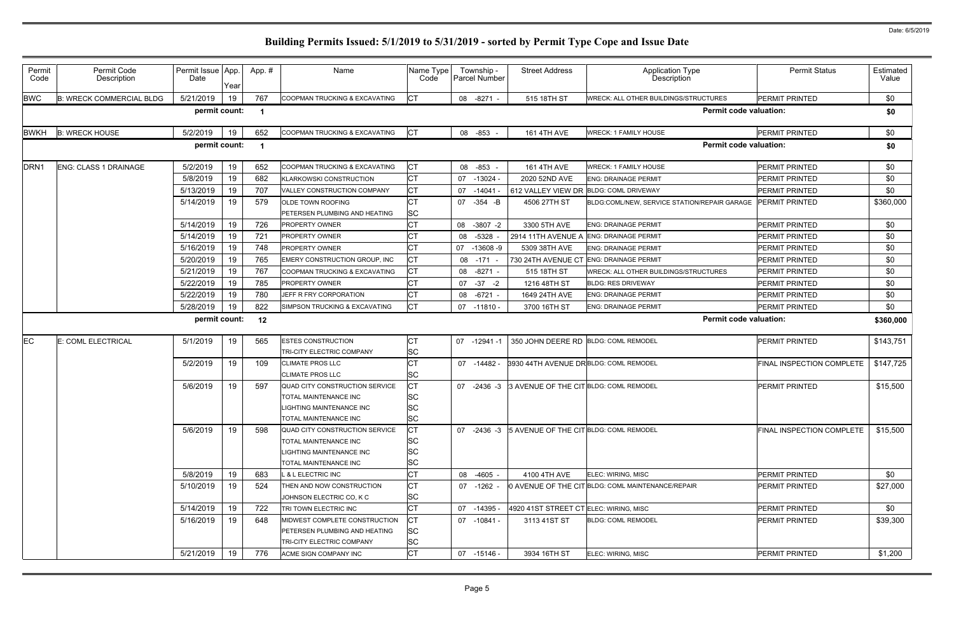| Permit<br>Code   | Permit Code<br>Description      | Permit Issue App.<br>Date | Year | App. # | Name                                               | Name Type<br>Code      | Township -<br>Parcel Number | <b>Street Address</b>                  | Application Type<br>Description                          | <b>Permit Status</b>             | Estimated<br>Value |
|------------------|---------------------------------|---------------------------|------|--------|----------------------------------------------------|------------------------|-----------------------------|----------------------------------------|----------------------------------------------------------|----------------------------------|--------------------|
| <b>BWC</b>       | <b>B: WRECK COMMERCIAL BLDG</b> | 5/21/2019                 | 19   | 767    | COOPMAN TRUCKING & EXCAVATING                      | <b>ICT</b>             | 08 -8271 -                  | 515 18TH ST                            | <b>WRECK: ALL OTHER BUILDINGS/STRUCTURES</b>             | <b>PERMIT PRINTED</b>            | \$0                |
|                  |                                 | permit count:             |      | - 1    |                                                    |                        |                             |                                        | <b>Permit code valuation:</b>                            |                                  | \$0                |
| <b>BWKH</b>      | <b>B: WRECK HOUSE</b>           | 5/2/2019                  | 19   | 652    | COOPMAN TRUCKING & EXCAVATING                      | CT                     | 08 -853 -                   | <b>161 4TH AVE</b>                     | <b>WRECK: 1 FAMILY HOUSE</b>                             | <b>PERMIT PRINTED</b>            | \$0                |
|                  |                                 | permit count:             |      | -1     |                                                    |                        |                             |                                        | <b>Permit code valuation:</b>                            |                                  | \$0                |
| DRN <sub>1</sub> | <b>ENG: CLASS 1 DRAINAGE</b>    | 5/2/2019                  | 19   | 652    | COOPMAN TRUCKING & EXCAVATING                      | <b>CT</b>              | 08 -853                     | <b>161 4TH AVE</b>                     | <b>WRECK: 1 FAMILY HOUSE</b>                             | <b>PERMIT PRINTED</b>            | \$0                |
|                  |                                 | 5/8/2019                  | 19   | 682    | <b>KLARKOWSKI CONSTRUCTION</b>                     | <b>CT</b>              | 07 -13024 -                 | 2020 52ND AVE                          | <b>ENG: DRAINAGE PERMIT</b>                              | <b>PERMIT PRINTED</b>            | \$0                |
|                  |                                 | 5/13/2019                 | 19   | 707    | VALLEY CONSTRUCTION COMPANY                        | <b>CT</b>              | 07 -14041                   | 612 VALLEY VIEW DR                     | <b>BLDG: COML DRIVEWAY</b>                               | <b>PERMIT PRINTED</b>            | \$0                |
|                  |                                 | 5/14/2019                 | 19   | 579    | OLDE TOWN ROOFING                                  | <b>CT</b>              | 07 -354 -B                  | 4506 27TH ST                           | BLDG:COML/NEW, SERVICE STATION/REPAIR GARAGE             | <b>PERMIT PRINTED</b>            | \$360,000          |
|                  |                                 |                           |      |        | <b>PETERSEN PLUMBING AND HEATING</b>               | <b>SC</b>              |                             |                                        |                                                          |                                  |                    |
|                  |                                 | 5/14/2019                 | 19   | 726    | <b>PROPERTY OWNER</b>                              | <b>CT</b>              | 08 -3807 -2                 | 3300 5TH AVE                           | <b>ENG: DRAINAGE PERMIT</b>                              | <b>PERMIT PRINTED</b>            | \$0                |
|                  |                                 | 5/14/2019                 | 19   | 721    | <b>PROPERTY OWNER</b>                              | <b>CT</b>              | 08 -5328                    | 2914 11TH AVENUE A                     | <b>ENG: DRAINAGE PERMIT</b>                              | <b>PERMIT PRINTED</b>            | \$0                |
|                  |                                 | 5/16/2019                 | 19   | 748    | <b>PROPERTY OWNER</b>                              | <b>CT</b>              | 07 -13608 -9                | 5309 38TH AVE                          | <b>ENG: DRAINAGE PERMIT</b>                              | PERMIT PRINTED                   | \$0                |
|                  |                                 | 5/20/2019                 | 19   | 765    | EMERY CONSTRUCTION GROUP, INC                      | <b>CT</b>              | 08 -171                     | 730 24TH AVENUE CT                     | <b>ENG: DRAINAGE PERMIT</b>                              | <b>PERMIT PRINTED</b>            | \$0                |
|                  |                                 | 5/21/2019                 | 19   | 767    | COOPMAN TRUCKING & EXCAVATING                      | <b>CT</b>              | 08 -8271 -                  | 515 18TH ST                            | <b>WRECK: ALL OTHER BUILDINGS/STRUCTURES</b>             | <b>PERMIT PRINTED</b>            | \$0                |
|                  |                                 | 5/22/2019                 | 19   | 785    | <b>PROPERTY OWNER</b>                              | <b>CT</b>              | $07 - 37 - 2$               | 1216 48TH ST                           | <b>BLDG: RES DRIVEWAY</b>                                | <b>PERMIT PRINTED</b>            | \$0                |
|                  |                                 | 5/22/2019                 | 19   | 780    | JEFF R FRY CORPORATION                             | <b>CT</b>              | 08 -6721 -                  | 1649 24TH AVE                          | <b>ENG: DRAINAGE PERMIT</b>                              | PERMIT PRINTED                   | \$0                |
|                  |                                 | 5/28/2019                 | 19   | 822    | SIMPSON TRUCKING & EXCAVATING                      | <b>CT</b>              | $07 - 11810 -$              | 3700 16TH ST                           | <b>ENG: DRAINAGE PERMIT</b>                              | <b>PERMIT PRINTED</b>            | \$0                |
|                  |                                 | permit count:             |      | 12     |                                                    |                        |                             |                                        | <b>Permit code valuation:</b>                            |                                  | \$360,000          |
|                  |                                 |                           |      |        |                                                    |                        |                             |                                        |                                                          |                                  |                    |
| ЕC               | <b>E: COML ELECTRICAL</b>       | 5/1/2019                  | 19   | 565    | <b>ESTES CONSTRUCTION</b>                          | <b>CT</b>              | 07 -12941 -1                |                                        | 350 JOHN DEERE RD BLDG: COML REMODEL                     | PERMIT PRINTED                   | \$143,751          |
|                  |                                 |                           |      |        | TRI-CITY ELECTRIC COMPANY                          | <b>SC</b>              |                             |                                        |                                                          |                                  |                    |
|                  |                                 | 5/2/2019                  | 19   | 109    | <b>CLIMATE PROS LLC</b>                            | <b>CT</b>              | 07 -14482 -                 | 3930 44TH AVENUE DR BLDG: COML REMODEL |                                                          | FINAL INSPECTION COMPLETE        | \$147,725          |
|                  |                                 |                           |      |        | <b>CLIMATE PROS LLC</b>                            | SC                     |                             |                                        |                                                          |                                  |                    |
|                  |                                 | 5/6/2019                  | 19   | 597    | QUAD CITY CONSTRUCTION SERVICE                     | СT                     | 07 -2436 -3                 | 3 AVENUE OF THE CIT BLDG: COML REMODEL |                                                          | <b>PERMIT PRINTED</b>            | \$15,500           |
|                  |                                 |                           |      |        | TOTAL MAINTENANCE INC                              | SC                     |                             |                                        |                                                          |                                  |                    |
|                  |                                 |                           |      |        | LIGHTING MAINTENANCE INC                           | <b>SC</b>              |                             |                                        |                                                          |                                  |                    |
|                  |                                 |                           |      |        | TOTAL MAINTENANCE INC                              | <b>SC</b>              |                             |                                        |                                                          |                                  |                    |
|                  |                                 |                           |      |        |                                                    |                        |                             |                                        |                                                          |                                  |                    |
|                  |                                 | 5/6/2019                  | 19   | 598    | QUAD CITY CONSTRUCTION SERVICE                     | СT                     | 07 -2436 -3                 |                                        | 5 AVENUE OF THE CIT BLDG: COML REMODEL                   | <b>FINAL INSPECTION COMPLETE</b> | \$15,500           |
|                  |                                 |                           |      |        | TOTAL MAINTENANCE INC                              | <b>SC</b>              |                             |                                        |                                                          |                                  |                    |
|                  |                                 |                           |      |        | LIGHTING MAINTENANCE INC                           | SC                     |                             |                                        |                                                          |                                  |                    |
|                  |                                 |                           |      |        | TOTAL MAINTENANCE INC                              | <b>SC</b>              |                             |                                        |                                                          |                                  |                    |
|                  |                                 | 5/8/2019                  | 19   | 683    | L & L ELECTRIC INC                                 | <b>CT</b>              | 08 -4605 -                  | 4100 4TH AVE                           | ELEC: WIRING, MISC                                       | <b>PERMIT PRINTED</b>            | \$0                |
|                  |                                 | 5/10/2019                 | 19   | 524    | THEN AND NOW CONSTRUCTION                          | <b>CT</b>              | 07 -1262 -                  |                                        | <b>O AVENUE OF THE CIT BLDG: COML MAINTENANCE/REPAIR</b> | <b>PERMIT PRINTED</b>            | \$27,000           |
|                  |                                 |                           |      |        | JOHNSON ELECTRIC CO, K C                           | <b>SC</b>              |                             |                                        |                                                          |                                  |                    |
|                  |                                 | 5/14/2019                 | 19   | 722    | TRI TOWN ELECTRIC INC                              | <b>CT</b>              | 07 -14395 -                 | 4920 41ST STREET CT ELEC: WIRING, MISC |                                                          | <b>PERMIT PRINTED</b>            | \$0                |
|                  |                                 | 5/16/2019                 | 19   | 648    | MIDWEST COMPLETE CONSTRUCTION                      | СT                     | 07 -10841 -                 | 3113 41ST ST                           | <b>BLDG: COML REMODEL</b>                                | <b>PERMIT PRINTED</b>            | \$39,300           |
|                  |                                 |                           |      |        | PETERSEN PLUMBING AND HEATING                      | <b>SC</b>              |                             |                                        |                                                          |                                  |                    |
|                  |                                 | 5/21/2019                 | 19   | 776    | TRI-CITY ELECTRIC COMPANY<br>ACME SIGN COMPANY INC | <b>SC</b><br><b>CT</b> | 07 -15146 -                 | 3934 16TH ST                           | ELEC: WIRING, MISC                                       | <b>PERMIT PRINTED</b>            | \$1,200            |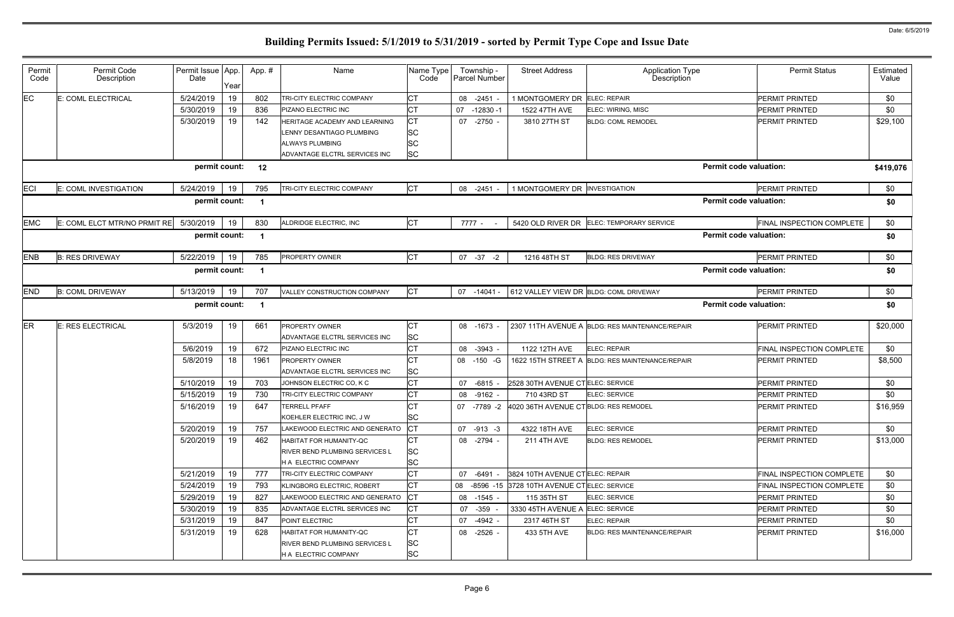| Permit<br>Code | Permit Code<br>Description   | Permit Issue App.<br>Date | Year | App. #                  | Name                                                             | Name Type<br>Code      | Township -<br>Parcel Number | <b>Street Address</b>                             | <b>Application Type</b><br>Description          | <b>Permit Status</b>             | Estimated<br>Value |
|----------------|------------------------------|---------------------------|------|-------------------------|------------------------------------------------------------------|------------------------|-----------------------------|---------------------------------------------------|-------------------------------------------------|----------------------------------|--------------------|
| EC             | E: COML ELECTRICAL           | 5/24/2019                 | 19   | 802                     | TRI-CITY ELECTRIC COMPANY                                        | IСТ                    | 08 -2451                    | 1 MONTGOMERY DR ELEC: REPAIR                      |                                                 | <b>PERMIT PRINTED</b>            | \$0                |
|                |                              | 5/30/2019                 | 19   | 836                     | PIZANO ELECTRIC INC                                              | <b>CT</b>              | 07<br>$-12830 - 1$          | 1522 47TH AVE                                     | ELEC: WIRING, MISC                              | <b>PERMIT PRINTED</b>            | \$0                |
|                |                              | 5/30/2019                 | 19   | 142                     | HERITAGE ACADEMY AND LEARNING                                    | <b>CT</b>              | 07 -2750 -                  | 3810 27TH ST                                      | <b>BLDG: COML REMODEL</b>                       | <b>PERMIT PRINTED</b>            | \$29,100           |
|                |                              |                           |      |                         | LENNY DESANTIAGO PLUMBING                                        | <b>SC</b>              |                             |                                                   |                                                 |                                  |                    |
|                |                              |                           |      |                         | ALWAYS PLUMBING                                                  | <b>SC</b>              |                             |                                                   |                                                 |                                  |                    |
|                |                              |                           |      |                         | ADVANTAGE ELCTRL SERVICES INC                                    | <b>SC</b>              |                             |                                                   |                                                 |                                  |                    |
|                |                              | permit count:             |      | 12                      |                                                                  |                        |                             |                                                   |                                                 | <b>Permit code valuation:</b>    | \$419,076          |
| <b>ECI</b>     | E: COML INVESTIGATION        | 5/24/2019                 | 19   | 795                     | TRI-CITY ELECTRIC COMPANY                                        | <b>CT</b>              | 08 -2451 -                  | 1 MONTGOMERY DR INVESTIGATION                     |                                                 | PERMIT PRINTED                   | \$0                |
|                |                              | permit count:             |      | -1                      |                                                                  |                        |                             |                                                   |                                                 | <b>Permit code valuation:</b>    | \$0                |
| <b>EMC</b>     | E: COML ELCT MTR/NO PRMIT RE | 5/30/2019                 | 19   | 830                     | ALDRIDGE ELECTRIC, INC                                           | <b>CT</b>              | 7777 -                      | 5420 OLD RIVER DR                                 | ELEC: TEMPORARY SERVICE                         | FINAL INSPECTION COMPLETE        | \$0                |
|                |                              | permit count:             |      | $\overline{\mathbf{1}}$ |                                                                  |                        |                             |                                                   |                                                 | <b>Permit code valuation:</b>    | \$0                |
| <b>ENB</b>     | <b>B: RES DRIVEWAY</b>       | 5/22/2019                 | 19   | 785                     | <b>PROPERTY OWNER</b>                                            | <b>CT</b>              | 07 -37<br>$-2$              | 1216 48TH ST                                      | <b>BLDG: RES DRIVEWAY</b>                       | PERMIT PRINTED                   | \$0                |
|                |                              | permit count:             |      | -1                      |                                                                  |                        |                             |                                                   |                                                 | <b>Permit code valuation:</b>    | \$0                |
| <b>END</b>     | <b>B: COML DRIVEWAY</b>      | 5/13/2019                 | 19   | 707                     | VALLEY CONSTRUCTION COMPANY                                      | <b>CT</b>              | 07 -14041 -                 | 612 VALLEY VIEW DR BLDG: COML DRIVEWAY            |                                                 | PERMIT PRINTED                   | \$0                |
|                |                              | permit count:             |      | -1                      |                                                                  |                        |                             |                                                   |                                                 | <b>Permit code valuation:</b>    | \$0                |
| ER             | E: RES ELECTRICAL            | 5/3/2019                  | 19   | 661                     | <b>PROPERTY OWNER</b>                                            | <b>CT</b>              | 08 -1673 -                  |                                                   | 2307 11TH AVENUE A BLDG: RES MAINTENANCE/REPAIR | <b>PERMIT PRINTED</b>            | \$20,000           |
|                |                              |                           |      |                         | ADVANTAGE ELCTRL SERVICES INC                                    | <b>SC</b>              |                             |                                                   |                                                 |                                  |                    |
|                |                              | 5/6/2019                  | 19   | 672                     | PIZANO ELECTRIC INC                                              | <b>CT</b>              | 08 -3943 -                  | 1122 12TH AVE                                     | ELEC: REPAIR                                    | FINAL INSPECTION COMPLETE        | \$0                |
|                |                              | 5/8/2019                  | 18   | 1961                    | <b>PROPERTY OWNER</b>                                            | <b>CT</b>              | 08 -150 -G                  |                                                   | 1622 15TH STREET A BLDG: RES MAINTENANCE/REPAIR | PERMIT PRINTED                   | \$8,500            |
|                |                              |                           |      |                         | ADVANTAGE ELCTRL SERVICES INC                                    | <b>SC</b>              |                             |                                                   |                                                 |                                  |                    |
|                |                              | 5/10/2019                 | 19   | 703                     | JOHNSON ELECTRIC CO, K C                                         | <b>CT</b>              | 07 -6815 -                  | 2528 30TH AVENUE CTELEC: SERVICE                  |                                                 | <b>PERMIT PRINTED</b>            | \$0                |
|                |                              | 5/15/2019                 | 19   | 730                     | TRI-CITY ELECTRIC COMPANY                                        | <b>CT</b>              | 08 -9162 -                  | 710 43RD ST                                       | ELEC: SERVICE                                   | <b>PERMIT PRINTED</b>            | \$0                |
|                |                              | 5/16/2019                 | 19   | 647                     | <b>TERRELL PFAFF</b><br>KOEHLER ELECTRIC INC, J W                | <b>CT</b><br><b>SC</b> |                             | 07 -7789 -2 4020 36TH AVENUE CT BLDG: RES REMODEL |                                                 | <b>PERMIT PRINTED</b>            | \$16,959           |
|                |                              | 5/20/2019                 | 19   | 757                     | LAKEWOOD ELECTRIC AND GENERATO                                   | <b>CT</b>              | 07 -913 -3                  | 4322 18TH AVE                                     | ELEC: SERVICE                                   | <b>PERMIT PRINTED</b>            | \$0                |
|                |                              | 5/20/2019                 | 19   | 462                     | <b>HABITAT FOR HUMANITY-QC</b>                                   | <b>CT</b>              | 08 -2794 -                  | <b>211 4TH AVE</b>                                | <b>BLDG: RES REMODEL</b>                        | <b>PERMIT PRINTED</b>            | \$13,000           |
|                |                              |                           |      |                         | <b>RIVER BEND PLUMBING SERVICES L</b>                            | <b>SC</b>              |                             |                                                   |                                                 |                                  |                    |
|                |                              |                           |      |                         | <b>H A ELECTRIC COMPANY</b>                                      | <b>SC</b>              |                             |                                                   |                                                 |                                  |                    |
|                |                              | 5/21/2019                 | 19   | 777                     | TRI-CITY ELECTRIC COMPANY                                        | <b>CT</b>              | 07 -6491 -                  | 3824 10TH AVENUE CTELEC: REPAIR                   |                                                 | <b>FINAL INSPECTION COMPLETE</b> | \$0                |
|                |                              | 5/24/2019                 | 19   | 793                     | KLINGBORG ELECTRIC, ROBERT                                       | <b>CT</b>              |                             | 08 -8596 -15 3728 10TH AVENUE CTELEC: SERVICE     |                                                 | FINAL INSPECTION COMPLETE        | \$0                |
|                |                              | 5/29/2019                 | 19   | 827                     | LAKEWOOD ELECTRIC AND GENERATO                                   | <b>CT</b>              | 08 -1545 -                  | 115 35TH ST                                       | <b>ELEC: SERVICE</b>                            | <b>PERMIT PRINTED</b>            | \$0                |
|                |                              | 5/30/2019                 | 19   | 835                     | ADVANTAGE ELCTRL SERVICES INC                                    | <b>CT</b>              | 07 -359 -                   | 3330 45TH AVENUE A ELEC: SERVICE                  |                                                 | <b>PERMIT PRINTED</b>            | \$0                |
|                |                              | 5/31/2019                 | 19   | 847                     | POINT ELECTRIC                                                   | <b>CT</b>              | 07 -4942 -                  | 2317 46TH ST                                      | <b>ELEC: REPAIR</b>                             | <b>PERMIT PRINTED</b>            | \$0                |
|                |                              | 5/31/2019                 | 19   | 628                     | HABITAT FOR HUMANITY-QC<br><b>RIVER BEND PLUMBING SERVICES L</b> | <b>CT</b><br><b>SC</b> | 08 -2526 -                  | 433 5TH AVE                                       | <b>BLDG: RES MAINTENANCE/REPAIR</b>             | <b>PERMIT PRINTED</b>            | \$16,000           |
|                |                              |                           |      |                         | H A ELECTRIC COMPANY                                             | <b>SC</b>              |                             |                                                   |                                                 |                                  |                    |
|                |                              |                           |      |                         |                                                                  |                        |                             |                                                   |                                                 |                                  |                    |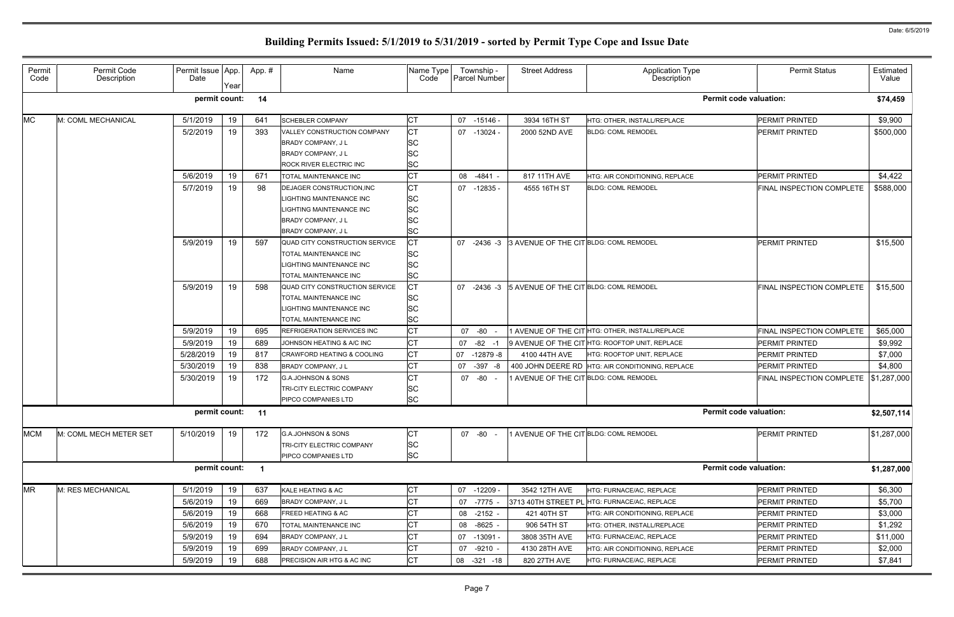5/9/2019 | 19 | 688 PRECISION AIR HTG & AC INC | CT | 08 -321 -18 | 820 27TH AVE | HTG: FURNACE/AC, REPLACE

|                               | <b>Permit Status</b>             | Estimated   |
|-------------------------------|----------------------------------|-------------|
|                               |                                  | Value       |
| <b>Permit code valuation:</b> |                                  | \$74,459    |
|                               | PERMIT PRINTED                   | \$9,900     |
|                               | <b>PERMIT PRINTED</b>            | \$500,000   |
|                               | <b>PERMIT PRINTED</b>            | \$4,422     |
|                               | FINAL INSPECTION COMPLETE        | \$588,000   |
|                               | PERMIT PRINTED                   | \$15,500    |
|                               | <b>FINAL INSPECTION COMPLETE</b> | \$15,500    |
|                               | FINAL INSPECTION COMPLETE        | \$65,000    |
|                               | PERMIT PRINTED                   | \$9,992     |
|                               | PERMIT PRINTED                   | \$7,000     |
|                               | PERMIT PRINTED                   | \$4,800     |
|                               | FINAL INSPECTION COMPLETE        | \$1,287,000 |
| <b>Permit code valuation:</b> |                                  | \$2,507,114 |
|                               | PERMIT PRINTED                   | \$1,287,000 |
| <b>Permit code valuation:</b> |                                  | \$1,287,000 |
|                               | PERMIT PRINTED                   | \$6,300     |
|                               | PERMIT PRINTED                   | \$5,700     |
|                               | PERMIT PRINTED                   | \$3,000     |
|                               | PERMIT PRINTED                   | \$1,292     |
|                               | PERMIT PRINTED                   | \$11,000    |
|                               | PERMIT PRINTED                   | \$2,000     |
|                               | PERMIT PRINTED                   | \$7,841     |

### Permit Code Permit Code Description Permit Issue Date App. Year App. # | Name Name Name Type Code Township - Parcel Number Street Address | Application Type Description MC M: COML MECHANICAL | 5/1/2019 | 19 | 641 SCHEBLER COMPANY | CT | 07 -15146 - 3934 16TH ST HTG: OTHER, INSTALL/REPLACE | PERMIT PRINTED | \$9,900 5/2/2019 19 393 VALLEY CONSTRUCTION COMPANY CT | 07 -13024 - 2000 52ND AVE BLDG: COML REMODEL BRADY COMPANY, JL SC BRADY COMPANY, JL SC ROCK RIVER ELECTRIC INC **SC**  $\frac{1}{5}$ /6/2019 | 19 | 671 | TOTAL MAINTENANCE INC | CT | 08 -4841 - | 817 11TH AVE | HTG: AIR CONDITIONING, REPLACE 5/7/2019 19 98 DEJAGER CONSTRUCTION,INC CT 07 -12835 - 4555 16TH ST BLDG: COML REMODEL LIGHTING MAINTENANCE INC LIGHTING MAINTENANCE INC **SC** BRADY COMPANY, JL SC BRADY COMPANY, JL SC 5/9/2019 19 597 QUAD CITY CONSTRUCTION SERVICE CT 107 -2436 -3 3 AVENUE OF THE CIT BLDG: COML REMODEL TOTAL MAINTENANCE INC SC LIGHTING MAINTENANCE INC **SC** TOTAL MAINTENANCE INC SC  $5/9/2019$  | 19 | 598 QUAD CITY CONSTRUCTION SERVICE  $|CT|$  07 -2436 -3 5 AVENUE OF THE CIT BLDG: COML REMODEL TOTAL MAINTENANCE INC SC LIGHTING MAINTENANCE INC SC TOTAL MAINTENANCE INC SC 5/9/2019 19 695 REFRIGERATION SERVICES INC CT 1 07 -80 - 1 AVENUE OF THE CIT HTG: OTHER, INSTALL/REPLACE 5/9/2019 19 689 JOHNSON HEATING & A/C INC CT 107 -82 -1 9 AVENUE OF THE CIT HTG: ROOFTOP UNIT, REPLACE 5/28/2019 | 19 | 817 CRAWFORD HEATING & COOLING | CT | 07 -12879 -8 | 4100 44TH AVE | HTG: ROOFTOP UNIT, REPLACE 5/30/2019 19 838 BRADY COMPANY, JL CT 107 -397 -8 400 JOHN DEERE RD HTG: AIR CONDITIONING, REPLACE  $5/30/2019$  | 19 | 172 G.A.JOHNSON & SONS CT | 07 -80 - 1 AVENUE OF THE CITBLDG: COML REMODEL TRI-CITY ELECTRIC COMPANY SC PIPCO COMPANIES LTD SC MCM |M: COML MECH METER SET | 5/10/2019 | 19 | 172 |G.A.JOHNSON & SONS | CT | 07 -80 - |1 AVENUE OF THE CIT<sup>I</sup>BLDG: COML REMODEL TRI-CITY ELECTRIC COMPANY SC PIPCO COMPANIES LTD SC MR M: RES MECHANICAL 5/1/2019 19 637 kALE HEATING & AC 07 -12209 - 3542 12TH AVE HTG: FURNACE/AC, REPLACE \$6,300 5/6/2019 19 669 BRADY COMPANY, JL CT 107 -7775 - 3713 40TH STREET PL HTG: FURNACE/AC, REPLACE 5/6/2019 19 668 FREED HEATING & AC CT 08 -2152 - 421 40TH ST HTG: AIR CONDITIONING, REPLACE 5/6/2019 | 19 | 670 | TOTAL MAINTENANCE INC | CT | 08 -8625 - | 906 54TH ST | HTG: OTHER, INSTALL/REPLACE 5/9/2019 19 694 BRADY COMPANY, J L CT 07 -13091 - 3808 35TH AVE HTG: FURNACE/AC, REPLACE PERMIT PRINTED \$11,000  $5/9/2019$  | 19 | 699 BRADY COMPANY, JL CT | 07 -9210 - 4130 28TH AVE HTG: AIR CONDITIONING, REPLACE **permit count: 14 Permit code valuation: \$74,459 permit count: 11 Permit code valuation: \$2,507,114 permit count: 1 Permit code valuation: \$1,287,000**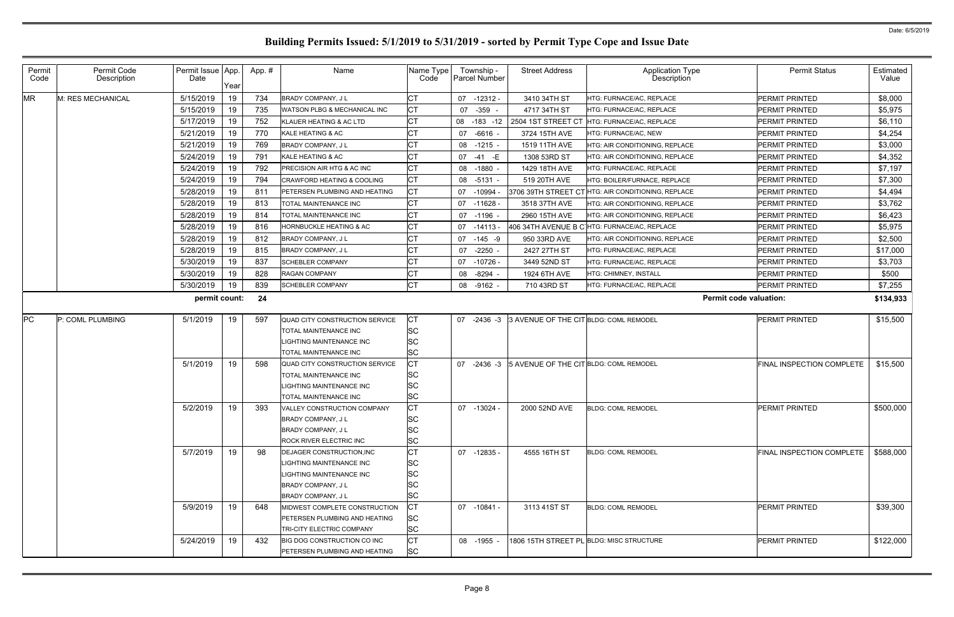| Permit<br>Code | Permit Code<br>Description | Permit Issue App.<br>Date | Year | App.# | Name                                              | Name Type<br>Code | Township -<br><b>Parcel Number</b> | <b>Street Address</b>                  | Application Type<br>Description                    | <b>Permit Status</b>          | Estimated<br>Value |
|----------------|----------------------------|---------------------------|------|-------|---------------------------------------------------|-------------------|------------------------------------|----------------------------------------|----------------------------------------------------|-------------------------------|--------------------|
| <b>MR</b>      | M: RES MECHANICAL          | 5/15/2019                 | 19   | 734   | <b>BRADY COMPANY, JL</b>                          |                   | 07 -12312 -                        | 3410 34TH ST                           | HTG: FURNACE/AC, REPLACE                           | <b>PERMIT PRINTED</b>         | \$8,000            |
|                |                            | 5/15/2019                 | 19   | 735   | WATSON PLBG & MECHANICAL INC                      | <b>CT</b>         | 07 - 359 -                         | 4717 34TH ST                           | HTG: FURNACE/AC, REPLACE                           | <b>PERMIT PRINTED</b>         | \$5,975            |
|                |                            | 5/17/2019                 | 19   | 752   | KLAUER HEATING & AC LTD                           | <b>CT</b>         | 08 -183 -12                        | 2504 1ST STREET CT                     | HTG: FURNACE/AC, REPLACE                           | <b>PERMIT PRINTED</b>         | \$6,110            |
|                |                            | 5/21/2019                 | 19   | 770   | KALE HEATING & AC                                 |                   | 07 -6616 -                         | 3724 15TH AVE                          | HTG: FURNACE/AC, NEW                               | PERMIT PRINTED                | \$4,254            |
|                |                            | 5/21/2019                 | 19   | 769   | <b>BRADY COMPANY, JL</b>                          | <b>CT</b>         | 08 -1215 -                         | 1519 11TH AVE                          | HTG: AIR CONDITIONING, REPLACE                     | <b>PERMIT PRINTED</b>         | \$3,000            |
|                |                            | 5/24/2019                 | 19   | 791   | KALE HEATING & AC                                 | <b>CT</b>         | 07 -41 -E                          | 1308 53RD ST                           | HTG: AIR CONDITIONING, REPLACE                     | <b>PERMIT PRINTED</b>         | \$4,352            |
|                |                            | 5/24/2019                 | 19   | 792   | PRECISION AIR HTG & AC INC                        | СT                | 08 -1880 -                         | 1429 18TH AVE                          | HTG: FURNACE/AC, REPLACE                           | <b>PERMIT PRINTED</b>         | \$7,197            |
|                |                            | 5/24/2019                 | 19   | 794   | CRAWFORD HEATING & COOLING                        | <b>CT</b>         | 08 -5131 -                         | 519 20TH AVE                           | HTG: BOILER/FURNACE, REPLACE                       | <b>PERMIT PRINTED</b>         | \$7,300            |
|                |                            | 5/28/2019                 | 19   | 811   | PETERSEN PLUMBING AND HEATING                     | CТ                | 07 -10994                          |                                        | 3706 39TH STREET CT HTG: AIR CONDITIONING, REPLACE | PERMIT PRINTED                | \$4,494            |
|                |                            | 5/28/2019                 | 19   | 813   | TOTAL MAINTENANCE INC                             | <b>CT</b>         | $07 - 11628$                       | 3518 37TH AVE                          | HTG: AIR CONDITIONING, REPLACE                     | <b>PERMIT PRINTED</b>         | \$3,762            |
|                |                            | 5/28/2019                 | 19   | 814   | TOTAL MAINTENANCE INC                             | <b>CT</b>         | 07 -1196                           | 2960 15TH AVE                          | HTG: AIR CONDITIONING, REPLACE                     | <b>PERMIT PRINTED</b>         | \$6,423            |
|                |                            | 5/28/2019                 | 19   | 816   | HORNBUCKLE HEATING & AC                           | СT                | 07 -14113 -                        |                                        | 406 34TH AVENUE B C HTG: FURNACE/AC, REPLACE       | <b>PERMIT PRINTED</b>         | \$5,975            |
|                |                            | 5/28/2019                 | 19   | 812   | <b>BRADY COMPANY, JL</b>                          | <b>CT</b>         | 07 -145 -9                         | 950 33RD AVE                           | HTG: AIR CONDITIONING, REPLACE                     | <b>PERMIT PRINTED</b>         | \$2,500            |
|                |                            | 5/28/2019                 | 19   | 815   | <b>BRADY COMPANY, JL</b>                          | <b>CT</b>         | 07 -2250 -                         | 2427 27TH ST                           | HTG: FURNACE/AC, REPLACE                           | <b>PERMIT PRINTED</b>         | \$17,000           |
|                |                            | 5/30/2019                 | 19   | 837   | <b>SCHEBLER COMPANY</b>                           | СT                | 07 -10726                          | 3449 52ND ST                           | HTG: FURNACE/AC, REPLACE                           | <b>PERMIT PRINTED</b>         | \$3,703            |
|                |                            | 5/30/2019                 | 19   | 828   | RAGAN COMPANY                                     | <b>CT</b>         | 08 -8294                           | 1924 6TH AVE                           | HTG: CHIMNEY, INSTALL                              | <b>PERMIT PRINTED</b>         | \$500              |
|                |                            | 5/30/2019                 | 19   | 839   | <b>SCHEBLER COMPANY</b>                           | <b>CT</b>         | 08 -9162 -                         | 710 43RD ST                            | HTG: FURNACE/AC, REPLACE                           | <b>PERMIT PRINTED</b>         | \$7,255            |
|                |                            | permit count:             |      | 24    |                                                   |                   |                                    |                                        |                                                    | <b>Permit code valuation:</b> | \$134,933          |
| PC             | P: COML PLUMBING           | 5/1/2019                  | 19   | 597   | QUAD CITY CONSTRUCTION SERVICE                    | <b>CT</b>         | 07 -2436 -3                        | 3 AVENUE OF THE CIT BLDG: COML REMODEL |                                                    | <b>PERMIT PRINTED</b>         | \$15,500           |
|                |                            |                           |      |       | TOTAL MAINTENANCE INC                             | SC                |                                    |                                        |                                                    |                               |                    |
|                |                            |                           |      |       | IGHTING MAINTENANCE INC                           | SC                |                                    |                                        |                                                    |                               |                    |
|                |                            |                           |      |       | TOTAL MAINTENANCE INC                             | SC                |                                    |                                        |                                                    |                               |                    |
|                |                            | 5/1/2019                  | 19   | 598   | QUAD CITY CONSTRUCTION SERVICE                    | CТ                | 07 -2436 -3                        | 5 AVENUE OF THE CIT BLDG: COML REMODEL |                                                    | FINAL INSPECTION COMPLETE     | \$15,500           |
|                |                            |                           |      |       | TOTAL MAINTENANCE INC<br>LIGHTING MAINTENANCE INC | SC                |                                    |                                        |                                                    |                               |                    |
|                |                            |                           |      |       | [OTAL MAINTENANCE INC                             | SC<br>SC          |                                    |                                        |                                                    |                               |                    |
|                |                            | 5/2/2019                  | 19   | 393   | VALLEY CONSTRUCTION COMPANY                       |                   | 07 -13024 -                        | 2000 52ND AVE                          | <b>BLDG: COML REMODEL</b>                          | PERMIT PRINTED                | \$500,000          |
|                |                            |                           |      |       | BRADY COMPANY, JL                                 | SC                |                                    |                                        |                                                    |                               |                    |
|                |                            |                           |      |       | BRADY COMPANY, JL                                 | SC                |                                    |                                        |                                                    |                               |                    |
|                |                            |                           |      |       | ROCK RIVER ELECTRIC INC                           | <b>SC</b>         |                                    |                                        |                                                    |                               |                    |
|                |                            | 5/7/2019                  | 19   | 98    | DEJAGER CONSTRUCTION, INC                         | СT                | 07 -12835 -                        | 4555 16TH ST                           | <b>BLDG: COML REMODEL</b>                          | FINAL INSPECTION COMPLETE     | \$588,000          |
|                |                            |                           |      |       | LIGHTING MAINTENANCE INC                          | SC                |                                    |                                        |                                                    |                               |                    |
|                |                            |                           |      |       | LIGHTING MAINTENANCE INC                          | SC                |                                    |                                        |                                                    |                               |                    |
|                |                            |                           |      |       | BRADY COMPANY, JL                                 | SC                |                                    |                                        |                                                    |                               |                    |
|                |                            |                           |      |       | BRADY COMPANY, JL                                 | SC                |                                    |                                        |                                                    |                               |                    |
|                |                            | 5/9/2019                  | 19   | 648   | MIDWEST COMPLETE CONSTRUCTION                     | СT                | 07 -10841 -                        | 3113 41ST ST                           | <b>BLDG: COML REMODEL</b>                          | <b>PERMIT PRINTED</b>         | \$39,300           |
|                |                            |                           |      |       | PETERSEN PLUMBING AND HEATING                     | SC                |                                    |                                        |                                                    |                               |                    |
|                |                            |                           |      |       | TRI-CITY ELECTRIC COMPANY                         | <b>SC</b>         |                                    |                                        |                                                    |                               |                    |
|                |                            | 5/24/2019                 | 19   | 432   | BIG DOG CONSTRUCTION CO INC                       | <b>CT</b>         | 08 -1955 -                         |                                        | 1806 15TH STREET PL BLDG: MISC STRUCTURE           | <b>PERMIT PRINTED</b>         | \$122,000          |
|                |                            |                           |      |       | PETERSEN PLUMBING AND HEATING                     | SC                |                                    |                                        |                                                    |                               |                    |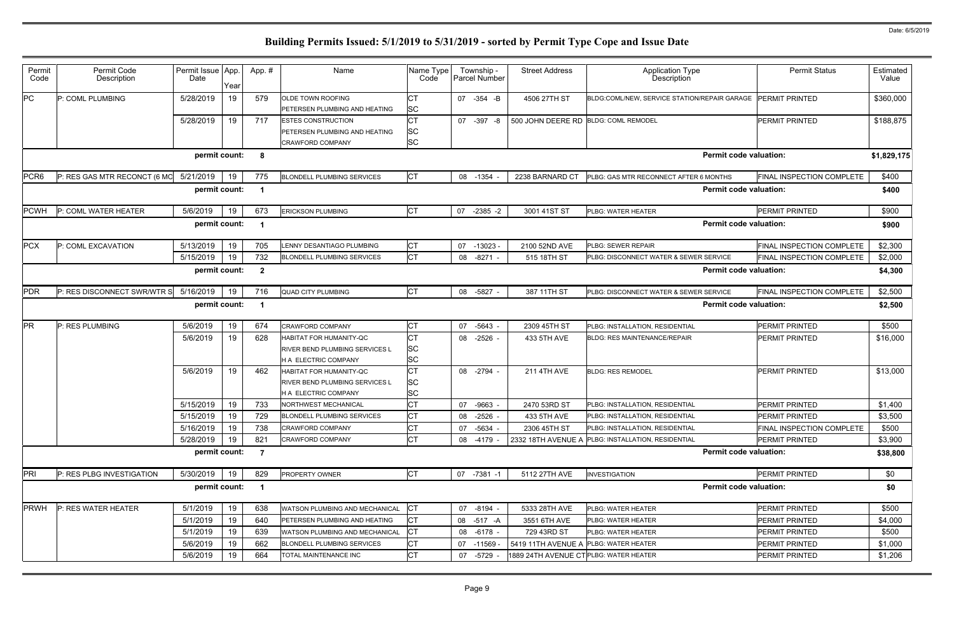| Permit<br>Code   | Permit Code<br>Description   | Permit Issue App.<br>Date | Year     | App.#            | Name                                                                                  | Name Type<br>Code      | Township -<br><b>Parcel Number</b> | <b>Street Address</b>                  | <b>Application Type</b><br>Description                             | <b>Permit Status</b>                        | Estimated<br>Value |
|------------------|------------------------------|---------------------------|----------|------------------|---------------------------------------------------------------------------------------|------------------------|------------------------------------|----------------------------------------|--------------------------------------------------------------------|---------------------------------------------|--------------------|
| PC               | P: COML PLUMBING             | 5/28/2019                 | 19       | 579              | OLDE TOWN ROOFING<br>PETERSEN PLUMBING AND HEATING                                    | СT<br>SC               | 07 -354 -B                         | 4506 27TH ST                           | BLDG:COML/NEW, SERVICE STATION/REPAIR GARAGE                       | <b>PERMIT PRINTED</b>                       | \$360,000          |
|                  |                              | 5/28/2019                 | 19       | 717              | <b>ESTES CONSTRUCTION</b><br>PETERSEN PLUMBING AND HEATING<br><b>CRAWFORD COMPANY</b> | СT<br>SC<br><b>SC</b>  | 07 -397 -8                         | 500 JOHN DEERE RD BLDG: COML REMODEL   |                                                                    | <b>PERMIT PRINTED</b>                       | \$188,875          |
|                  |                              | permit count:             |          | 8                |                                                                                       |                        |                                    |                                        | <b>Permit code valuation:</b>                                      |                                             | \$1,829,175        |
| PCR <sub>6</sub> | P: RES GAS MTR RECONCT (6 MO | 5/21/2019                 | 19       | 775              | <b>BLONDELL PLUMBING SERVICES</b>                                                     | <b>CT</b>              | 08 -1354                           | 2238 BARNARD CT                        | PLBG: GAS MTR RECONNECT AFTER 6 MONTHS                             | FINAL INSPECTION COMPLETE                   | \$400              |
|                  |                              | permit count:             |          | -1               |                                                                                       |                        |                                    |                                        | <b>Permit code valuation:</b>                                      |                                             | \$400              |
| <b>PCWH</b>      | P: COML WATER HEATER         | 5/6/2019                  | 19       | 673              | <b>ERICKSON PLUMBING</b>                                                              | <b>CT</b>              | 07<br>$-2385 -2$                   | 3001 41ST ST                           | PLBG: WATER HEATER                                                 | <b>PERMIT PRINTED</b>                       | \$900              |
| permit count:    |                              |                           |          |                  |                                                                                       |                        |                                    |                                        | <b>Permit code valuation:</b>                                      |                                             | \$900              |
| <b>PCX</b>       | P: COML EXCAVATION           | 5/13/2019                 | 19       | 705              | <b>ENNY DESANTIAGO PLUMBING</b>                                                       | <b>CT</b>              | 07 -13023                          | 2100 52ND AVE                          | PLBG: SEWER REPAIR                                                 | FINAL INSPECTION COMPLETE                   | \$2,300            |
|                  |                              | 5/15/2019                 | 19       | 732              | <b>BLONDELL PLUMBING SERVICES</b>                                                     | <b>CT</b>              | 08 -8271 -                         | 515 18TH ST                            | <b>PLBG: DISCONNECT WATER &amp; SEWER SERVICE</b>                  | FINAL INSPECTION COMPLETE                   | \$2,000            |
|                  |                              | permit count:             |          | $\boldsymbol{2}$ |                                                                                       |                        |                                    |                                        | <b>Permit code valuation:</b>                                      |                                             | \$4,300            |
| <b>PDR</b>       | P: RES DISCONNECT SWR/WTR S  | 5/16/2019                 | 19       | 716              | <b>QUAD CITY PLUMBING</b>                                                             | <b>CT</b>              | 08 -5827 -                         | 387 11TH ST                            | PLBG: DISCONNECT WATER & SEWER SERVICE                             | FINAL INSPECTION COMPLETE                   | \$2,500            |
|                  |                              | permit count:             |          |                  |                                                                                       |                        |                                    |                                        | <b>Permit code valuation:</b>                                      |                                             | \$2,500            |
| PR               | P: RES PLUMBING              | 5/6/2019                  | 19       | 674              | CRAWFORD COMPANY                                                                      | <b>CT</b>              | 07 -5643 -                         | 2309 45TH ST                           | PLBG: INSTALLATION, RESIDENTIAL                                    | <b>PERMIT PRINTED</b>                       | \$500              |
|                  |                              | 5/6/2019                  | 19       | 628              | HABITAT FOR HUMANITY-QC                                                               | <b>CT</b>              | 08 -2526 -                         | 433 5TH AVE                            | <b>BLDG: RES MAINTENANCE/REPAIR</b>                                | <b>PERMIT PRINTED</b>                       | \$16,000           |
|                  |                              |                           |          |                  | RIVER BEND PLUMBING SERVICES L                                                        | SC                     |                                    |                                        |                                                                    |                                             |                    |
|                  |                              |                           |          |                  | H A ELECTRIC COMPANY                                                                  | <b>SC</b>              |                                    |                                        |                                                                    |                                             |                    |
|                  |                              | 5/6/2019                  | 19       | 462              | HABITAT FOR HUMANITY-QC                                                               | CT                     | 08 -2794 -                         | <b>211 4TH AVE</b>                     | <b>BLDG: RES REMODEL</b>                                           | <b>PERMIT PRINTED</b>                       | \$13,000           |
|                  |                              |                           |          |                  | RIVER BEND PLUMBING SERVICES L                                                        | SC                     |                                    |                                        |                                                                    |                                             |                    |
|                  |                              |                           |          |                  | <b>HA ELECTRIC COMPANY</b>                                                            | SC                     |                                    |                                        |                                                                    |                                             |                    |
|                  |                              | 5/15/2019<br>5/15/2019    | 19       | 733              | NORTHWEST MECHANICAL                                                                  | <b>CT</b>              | 07 -9663 -                         | 2470 53RD ST                           | PLBG: INSTALLATION, RESIDENTIAL                                    | <b>PERMIT PRINTED</b>                       | \$1,400            |
|                  |                              | 5/16/2019                 | 19       | 729<br>738       | <b>BLONDELL PLUMBING SERVICES</b><br>CRAWFORD COMPANY                                 | <b>CT</b><br><b>CT</b> | 08 -2526 -                         | 433 5TH AVE                            | PLBG: INSTALLATION, RESIDENTIAL<br>PLBG: INSTALLATION, RESIDENTIAL | <b>PERMIT PRINTED</b>                       | \$3,500            |
|                  |                              | 5/28/2019                 | 19<br>19 | 821              | <b>CRAWFORD COMPANY</b>                                                               | <b>CT</b>              | 07 -5634 -<br>08 -4179 -           | 2306 45TH ST                           | 2332 18TH AVENUE A PLBG: INSTALLATION, RESIDENTIAL                 | FINAL INSPECTION COMPLETE<br>PERMIT PRINTED | \$500<br>\$3,900   |
|                  |                              | permit count:             |          | $\overline{7}$   |                                                                                       |                        |                                    |                                        | <b>Permit code valuation:</b>                                      |                                             | \$38,800           |
| PRI              | P: RES PLBG INVESTIGATION    | 5/30/2019                 | 19       | 829              | PROPERTY OWNER                                                                        | <b>CT</b>              | 07 -7381 -1                        | 5112 27TH AVE                          | <b>INVESTIGATION</b>                                               | PERMIT PRINTED                              | \$0                |
|                  |                              | permit count:             |          | $\mathbf{1}$     |                                                                                       |                        |                                    |                                        | <b>Permit code valuation:</b>                                      |                                             | \$0                |
| <b>PRWH</b>      | P: RES WATER HEATER          | 5/1/2019                  | 19       | 638              | WATSON PLUMBING AND MECHANICAL                                                        | IСТ                    | 07 -8194 -                         | 5333 28TH AVE                          | <b>PLBG: WATER HEATER</b>                                          | PERMIT PRINTED                              | \$500              |
|                  |                              | 5/1/2019                  | 19       | 640              | PETERSEN PLUMBING AND HEATING                                                         | <b>CT</b>              | 08 -517 -A                         | 3551 6TH AVE                           | <b>PLBG: WATER HEATER</b>                                          | <b>PERMIT PRINTED</b>                       | \$4,000            |
|                  |                              | 5/1/2019                  | 19       | 639              | WATSON PLUMBING AND MECHANICAL                                                        | <b>CT</b>              | 08 -6178 -                         | 729 43RD ST                            | <b>PLBG: WATER HEATER</b>                                          | PERMIT PRINTED                              | \$500              |
|                  |                              | 5/6/2019                  | 19       | 662              | <b>BLONDELL PLUMBING SERVICES</b>                                                     | <b>CT</b>              | 07 -11569 -                        | 5419 11TH AVENUE A                     | <b>PLBG: WATER HEATER</b>                                          | <b>PERMIT PRINTED</b>                       | \$1,000            |
|                  |                              | 5/6/2019                  | 19       | 664              | TOTAL MAINTENANCE INC                                                                 | <b>CT</b>              | 07 -5729 -                         | 1889 24TH AVENUE CT PLBG: WATER HEATER |                                                                    | PERMIT PRINTED                              | \$1,206            |